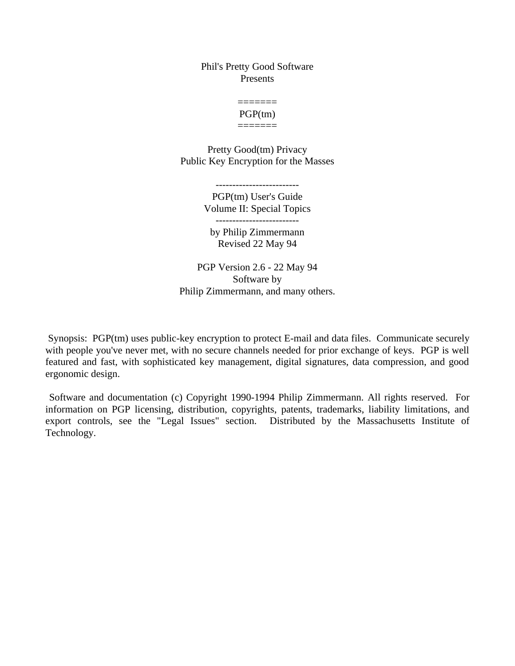Phil's Pretty Good Software Presents

#### ======= PGP(tm) =======

Pretty Good(tm) Privacy Public Key Encryption for the Masses

> ------------------------- PGP(tm) User's Guide Volume II: Special Topics

by Philip Zimmermann Revised 22 May 94

-------------------------

PGP Version 2.6 - 22 May 94 Software by Philip Zimmermann, and many others.

 Synopsis: PGP(tm) uses public-key encryption to protect E-mail and data files. Communicate securely with people you've never met, with no secure channels needed for prior exchange of keys. PGP is well featured and fast, with sophisticated key management, digital signatures, data compression, and good ergonomic design.

 Software and documentation (c) Copyright 1990-1994 Philip Zimmermann. All rights reserved. For information on PGP licensing, distribution, copyrights, patents, trademarks, liability limitations, and export controls, see the "Legal Issues" section. Distributed by the Massachusetts Institute of Technology.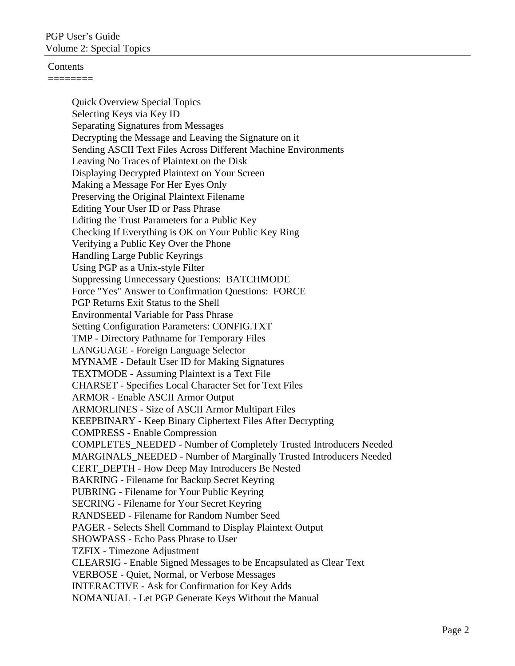## Contents

========

Quick Overview Special Topics Selecting Keys via Key ID Separating Signatures from Messages Decrypting the Message and Leaving the Signature on it Sending ASCII Text Files Across Different Machine Environments Leaving No Traces of Plaintext on the Disk Displaying Decrypted Plaintext on Your Screen Making a Message For Her Eyes Only Preserving the Original Plaintext Filename Editing Your User ID or Pass Phrase Editing the Trust Parameters for a Public Key Checking If Everything is OK on Your Public Key Ring Verifying a Public Key Over the Phone Handling Large Public Keyrings Using PGP as a Unix-style Filter Suppressing Unnecessary Questions: BATCHMODE Force "Yes" Answer to Confirmation Questions: FORCE PGP Returns Exit Status to the Shell Environmental Variable for Pass Phrase Setting Configuration Parameters: CONFIG.TXT TMP - Directory Pathname for Temporary Files LANGUAGE - Foreign Language Selector MYNAME - Default User ID for Making Signatures TEXTMODE - Assuming Plaintext is a Text File CHARSET - Specifies Local Character Set for Text Files ARMOR - Enable ASCII Armor Output ARMORLINES - Size of ASCII Armor Multipart Files KEEPBINARY - Keep Binary Ciphertext Files After Decrypting COMPRESS - Enable Compression COMPLETES\_NEEDED - Number of Completely Trusted Introducers Needed MARGINALS\_NEEDED - Number of Marginally Trusted Introducers Needed CERT\_DEPTH - How Deep May Introducers Be Nested BAKRING - Filename for Backup Secret Keyring PUBRING - Filename for Your Public Keyring SECRING - Filename for Your Secret Keyring RANDSEED - Filename for Random Number Seed PAGER - Selects Shell Command to Display Plaintext Output SHOWPASS - Echo Pass Phrase to User TZFIX - Timezone Adjustment CLEARSIG - Enable Signed Messages to be Encapsulated as Clear Text VERBOSE - Quiet, Normal, or Verbose Messages INTERACTIVE - Ask for Confirmation for Key Adds NOMANUAL - Let PGP Generate Keys Without the Manual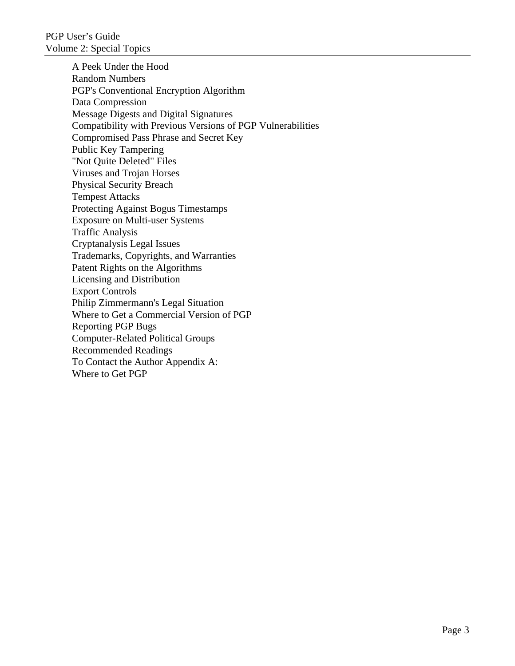A Peek Under the Hood Random Numbers PGP's Conventional Encryption Algorithm Data Compression Message Digests and Digital Signatures Compatibility with Previous Versions of PGP Vulnerabilities Compromised Pass Phrase and Secret Key Public Key Tampering "Not Quite Deleted" Files Viruses and Trojan Horses Physical Security Breach Tempest Attacks Protecting Against Bogus Timestamps Exposure on Multi-user Systems Traffic Analysis Cryptanalysis Legal Issues Trademarks, Copyrights, and Warranties Patent Rights on the Algorithms Licensing and Distribution Export Controls Philip Zimmermann's Legal Situation Where to Get a Commercial Version of PGP Reporting PGP Bugs Computer-Related Political Groups Recommended Readings To Contact the Author Appendix A: Where to Get PGP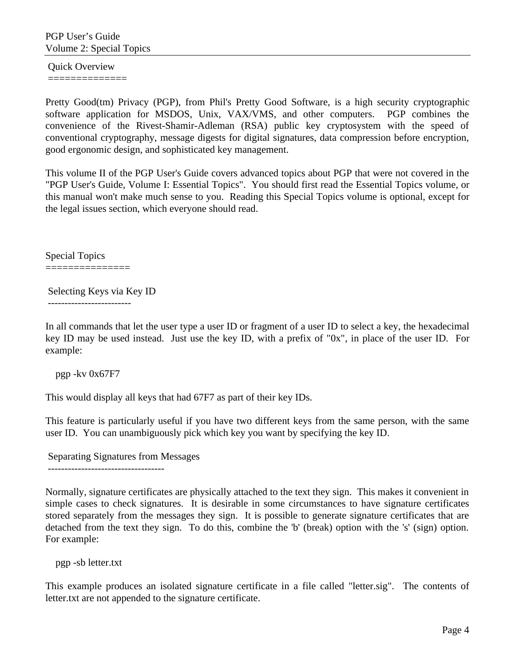# Quick Overview

==============

Pretty Good(tm) Privacy (PGP), from Phil's Pretty Good Software, is a high security cryptographic software application for MSDOS, Unix, VAX/VMS, and other computers. PGP combines the convenience of the Rivest-Shamir-Adleman (RSA) public key cryptosystem with the speed of conventional cryptography, message digests for digital signatures, data compression before encryption, good ergonomic design, and sophisticated key management.

This volume II of the PGP User's Guide covers advanced topics about PGP that were not covered in the "PGP User's Guide, Volume I: Essential Topics". You should first read the Essential Topics volume, or this manual won't make much sense to you. Reading this Special Topics volume is optional, except for the legal issues section, which everyone should read.

Special Topics ===============

 Selecting Keys via Key ID -------------------------

In all commands that let the user type a user ID or fragment of a user ID to select a key, the hexadecimal key ID may be used instead. Just use the key ID, with a prefix of "0x", in place of the user ID. For example:

pgp -kv 0x67F7

This would display all keys that had 67F7 as part of their key IDs.

This feature is particularly useful if you have two different keys from the same person, with the same user ID. You can unambiguously pick which key you want by specifying the key ID.

Separating Signatures from Messages

-----------------------------------

Normally, signature certificates are physically attached to the text they sign. This makes it convenient in simple cases to check signatures. It is desirable in some circumstances to have signature certificates stored separately from the messages they sign. It is possible to generate signature certificates that are detached from the text they sign. To do this, combine the 'b' (break) option with the 's' (sign) option. For example:

pgp -sb letter.txt

This example produces an isolated signature certificate in a file called "letter.sig". The contents of letter.txt are not appended to the signature certificate.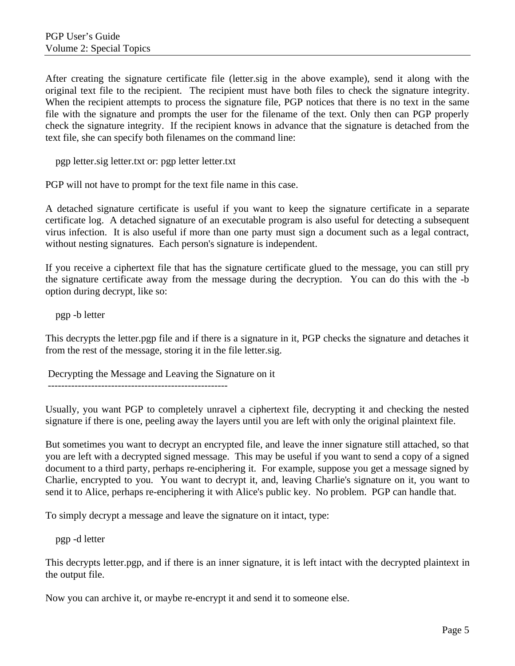After creating the signature certificate file (letter.sig in the above example), send it along with the original text file to the recipient. The recipient must have both files to check the signature integrity. When the recipient attempts to process the signature file, PGP notices that there is no text in the same file with the signature and prompts the user for the filename of the text. Only then can PGP properly check the signature integrity. If the recipient knows in advance that the signature is detached from the text file, she can specify both filenames on the command line:

pgp letter.sig letter.txt or: pgp letter letter.txt

PGP will not have to prompt for the text file name in this case.

A detached signature certificate is useful if you want to keep the signature certificate in a separate certificate log. A detached signature of an executable program is also useful for detecting a subsequent virus infection. It is also useful if more than one party must sign a document such as a legal contract, without nesting signatures. Each person's signature is independent.

If you receive a ciphertext file that has the signature certificate glued to the message, you can still pry the signature certificate away from the message during the decryption. You can do this with the -b option during decrypt, like so:

pgp -b letter

This decrypts the letter.pgp file and if there is a signature in it, PGP checks the signature and detaches it from the rest of the message, storing it in the file letter.sig.

Decrypting the Message and Leaving the Signature on it

------------------------------------------------------

Usually, you want PGP to completely unravel a ciphertext file, decrypting it and checking the nested signature if there is one, peeling away the layers until you are left with only the original plaintext file.

But sometimes you want to decrypt an encrypted file, and leave the inner signature still attached, so that you are left with a decrypted signed message. This may be useful if you want to send a copy of a signed document to a third party, perhaps re-enciphering it. For example, suppose you get a message signed by Charlie, encrypted to you. You want to decrypt it, and, leaving Charlie's signature on it, you want to send it to Alice, perhaps re-enciphering it with Alice's public key. No problem. PGP can handle that.

To simply decrypt a message and leave the signature on it intact, type:

pgp -d letter

This decrypts letter.pgp, and if there is an inner signature, it is left intact with the decrypted plaintext in the output file.

Now you can archive it, or maybe re-encrypt it and send it to someone else.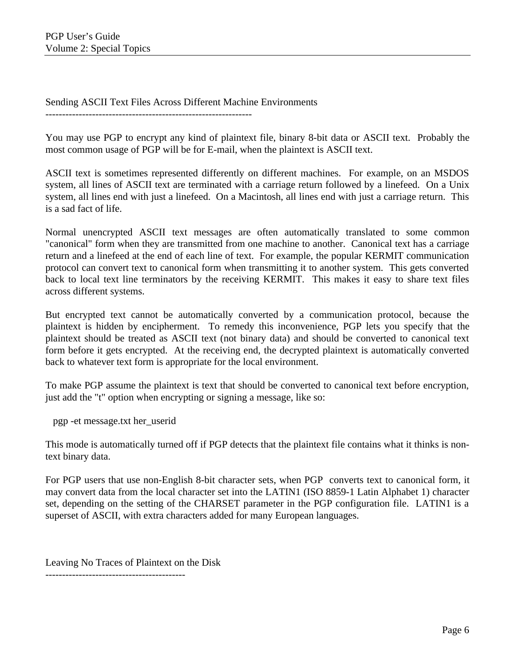Sending ASCII Text Files Across Different Machine Environments

--------------------------------------------------------------

You may use PGP to encrypt any kind of plaintext file, binary 8-bit data or ASCII text. Probably the most common usage of PGP will be for E-mail, when the plaintext is ASCII text.

ASCII text is sometimes represented differently on different machines. For example, on an MSDOS system, all lines of ASCII text are terminated with a carriage return followed by a linefeed. On a Unix system, all lines end with just a linefeed. On a Macintosh, all lines end with just a carriage return. This is a sad fact of life.

Normal unencrypted ASCII text messages are often automatically translated to some common "canonical" form when they are transmitted from one machine to another. Canonical text has a carriage return and a linefeed at the end of each line of text. For example, the popular KERMIT communication protocol can convert text to canonical form when transmitting it to another system. This gets converted back to local text line terminators by the receiving KERMIT. This makes it easy to share text files across different systems.

But encrypted text cannot be automatically converted by a communication protocol, because the plaintext is hidden by encipherment. To remedy this inconvenience, PGP lets you specify that the plaintext should be treated as ASCII text (not binary data) and should be converted to canonical text form before it gets encrypted. At the receiving end, the decrypted plaintext is automatically converted back to whatever text form is appropriate for the local environment.

To make PGP assume the plaintext is text that should be converted to canonical text before encryption, just add the "t" option when encrypting or signing a message, like so:

pgp -et message.txt her\_userid

This mode is automatically turned off if PGP detects that the plaintext file contains what it thinks is nontext binary data.

For PGP users that use non-English 8-bit character sets, when PGP converts text to canonical form, it may convert data from the local character set into the LATIN1 (ISO 8859-1 Latin Alphabet 1) character set, depending on the setting of the CHARSET parameter in the PGP configuration file. LATIN1 is a superset of ASCII, with extra characters added for many European languages.

Leaving No Traces of Plaintext on the Disk ------------------------------------------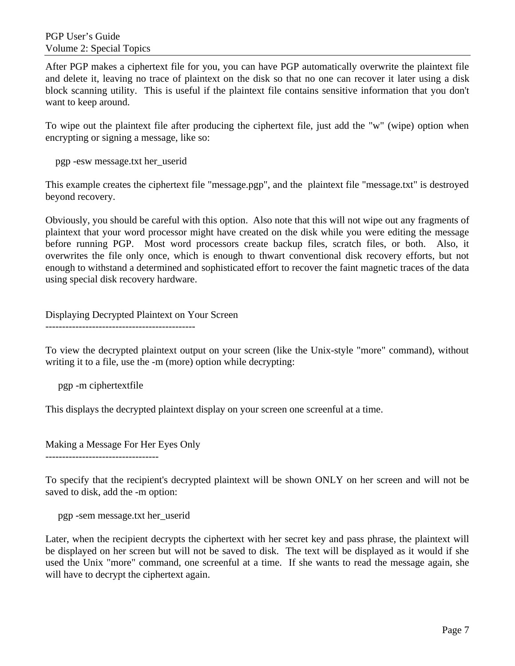After PGP makes a ciphertext file for you, you can have PGP automatically overwrite the plaintext file and delete it, leaving no trace of plaintext on the disk so that no one can recover it later using a disk block scanning utility. This is useful if the plaintext file contains sensitive information that you don't want to keep around.

To wipe out the plaintext file after producing the ciphertext file, just add the "w" (wipe) option when encrypting or signing a message, like so:

pgp -esw message.txt her\_userid

This example creates the ciphertext file "message.pgp", and the plaintext file "message.txt" is destroyed beyond recovery.

Obviously, you should be careful with this option. Also note that this will not wipe out any fragments of plaintext that your word processor might have created on the disk while you were editing the message before running PGP. Most word processors create backup files, scratch files, or both. Also, it overwrites the file only once, which is enough to thwart conventional disk recovery efforts, but not enough to withstand a determined and sophisticated effort to recover the faint magnetic traces of the data using special disk recovery hardware.

Displaying Decrypted Plaintext on Your Screen

---------------------------------------------

To view the decrypted plaintext output on your screen (like the Unix-style "more" command), without writing it to a file, use the -m (more) option while decrypting:

pgp -m ciphertextfile

----------------------------------

This displays the decrypted plaintext display on your screen one screenful at a time.

Making a Message For Her Eyes Only

To specify that the recipient's decrypted plaintext will be shown ONLY on her screen and will not be saved to disk, add the -m option:

pgp -sem message.txt her\_userid

Later, when the recipient decrypts the ciphertext with her secret key and pass phrase, the plaintext will be displayed on her screen but will not be saved to disk. The text will be displayed as it would if she used the Unix "more" command, one screenful at a time. If she wants to read the message again, she will have to decrypt the ciphertext again.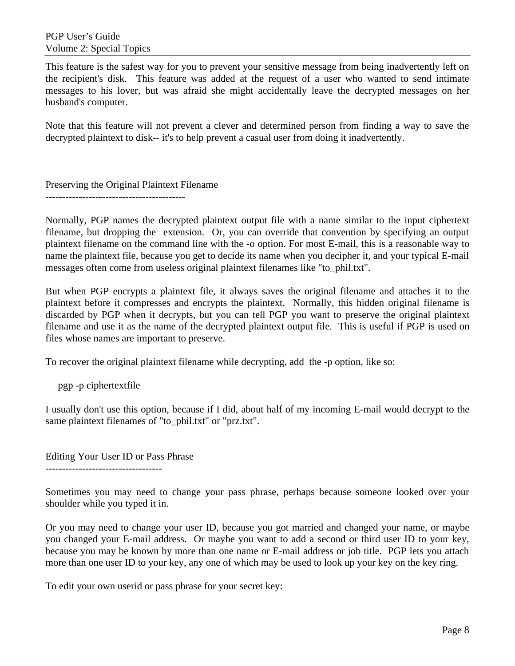This feature is the safest way for you to prevent your sensitive message from being inadvertently left on the recipient's disk. This feature was added at the request of a user who wanted to send intimate messages to his lover, but was afraid she might accidentally leave the decrypted messages on her husband's computer.

Note that this feature will not prevent a clever and determined person from finding a way to save the decrypted plaintext to disk-- it's to help prevent a casual user from doing it inadvertently.

Preserving the Original Plaintext Filename

------------------------------------------

Normally, PGP names the decrypted plaintext output file with a name similar to the input ciphertext filename, but dropping the extension. Or, you can override that convention by specifying an output plaintext filename on the command line with the -o option. For most E-mail, this is a reasonable way to name the plaintext file, because you get to decide its name when you decipher it, and your typical E-mail messages often come from useless original plaintext filenames like "to\_phil.txt".

But when PGP encrypts a plaintext file, it always saves the original filename and attaches it to the plaintext before it compresses and encrypts the plaintext. Normally, this hidden original filename is discarded by PGP when it decrypts, but you can tell PGP you want to preserve the original plaintext filename and use it as the name of the decrypted plaintext output file. This is useful if PGP is used on files whose names are important to preserve.

To recover the original plaintext filename while decrypting, add the -p option, like so:

pgp -p ciphertextfile

I usually don't use this option, because if I did, about half of my incoming E-mail would decrypt to the same plaintext filenames of "to\_phil.txt" or "prz.txt".

Editing Your User ID or Pass Phrase

-----------------------------------

Sometimes you may need to change your pass phrase, perhaps because someone looked over your shoulder while you typed it in.

Or you may need to change your user ID, because you got married and changed your name, or maybe you changed your E-mail address. Or maybe you want to add a second or third user ID to your key, because you may be known by more than one name or E-mail address or job title. PGP lets you attach more than one user ID to your key, any one of which may be used to look up your key on the key ring.

To edit your own userid or pass phrase for your secret key: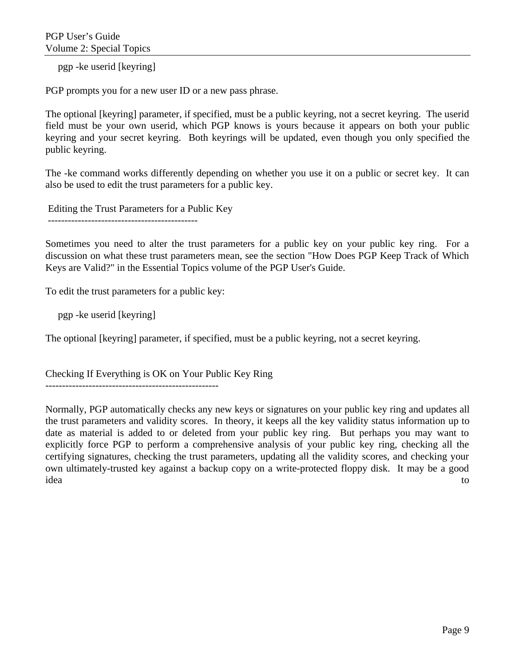pgp -ke userid [keyring]

PGP prompts you for a new user ID or a new pass phrase.

The optional [keyring] parameter, if specified, must be a public keyring, not a secret keyring. The userid field must be your own userid, which PGP knows is yours because it appears on both your public keyring and your secret keyring. Both keyrings will be updated, even though you only specified the public keyring.

The -ke command works differently depending on whether you use it on a public or secret key. It can also be used to edit the trust parameters for a public key.

Editing the Trust Parameters for a Public Key

---------------------------------------------

Sometimes you need to alter the trust parameters for a public key on your public key ring. For a discussion on what these trust parameters mean, see the section "How Does PGP Keep Track of Which Keys are Valid?" in the Essential Topics volume of the PGP User's Guide.

To edit the trust parameters for a public key:

pgp -ke userid [keyring]

The optional [keyring] parameter, if specified, must be a public keyring, not a secret keyring.

Checking If Everything is OK on Your Public Key Ring

----------------------------------------------------

Normally, PGP automatically checks any new keys or signatures on your public key ring and updates all the trust parameters and validity scores. In theory, it keeps all the key validity status information up to date as material is added to or deleted from your public key ring. But perhaps you may want to explicitly force PGP to perform a comprehensive analysis of your public key ring, checking all the certifying signatures, checking the trust parameters, updating all the validity scores, and checking your own ultimately-trusted key against a backup copy on a write-protected floppy disk. It may be a good idea to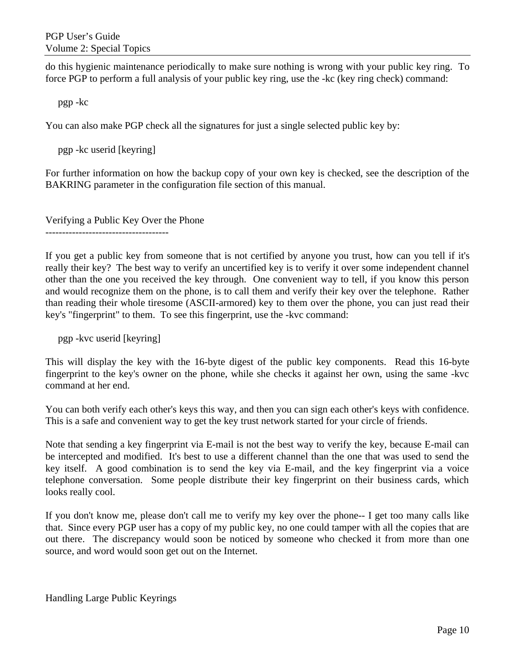do this hygienic maintenance periodically to make sure nothing is wrong with your public key ring. To force PGP to perform a full analysis of your public key ring, use the -kc (key ring check) command:

pgp -kc

You can also make PGP check all the signatures for just a single selected public key by:

pgp -kc userid [keyring]

For further information on how the backup copy of your own key is checked, see the description of the BAKRING parameter in the configuration file section of this manual.

Verifying a Public Key Over the Phone

-------------------------------------

If you get a public key from someone that is not certified by anyone you trust, how can you tell if it's really their key? The best way to verify an uncertified key is to verify it over some independent channel other than the one you received the key through. One convenient way to tell, if you know this person and would recognize them on the phone, is to call them and verify their key over the telephone. Rather than reading their whole tiresome (ASCII-armored) key to them over the phone, you can just read their key's "fingerprint" to them. To see this fingerprint, use the -kvc command:

pgp -kvc userid [keyring]

This will display the key with the 16-byte digest of the public key components. Read this 16-byte fingerprint to the key's owner on the phone, while she checks it against her own, using the same -kvc command at her end.

You can both verify each other's keys this way, and then you can sign each other's keys with confidence. This is a safe and convenient way to get the key trust network started for your circle of friends.

Note that sending a key fingerprint via E-mail is not the best way to verify the key, because E-mail can be intercepted and modified. It's best to use a different channel than the one that was used to send the key itself. A good combination is to send the key via E-mail, and the key fingerprint via a voice telephone conversation. Some people distribute their key fingerprint on their business cards, which looks really cool.

If you don't know me, please don't call me to verify my key over the phone-- I get too many calls like that. Since every PGP user has a copy of my public key, no one could tamper with all the copies that are out there. The discrepancy would soon be noticed by someone who checked it from more than one source, and word would soon get out on the Internet.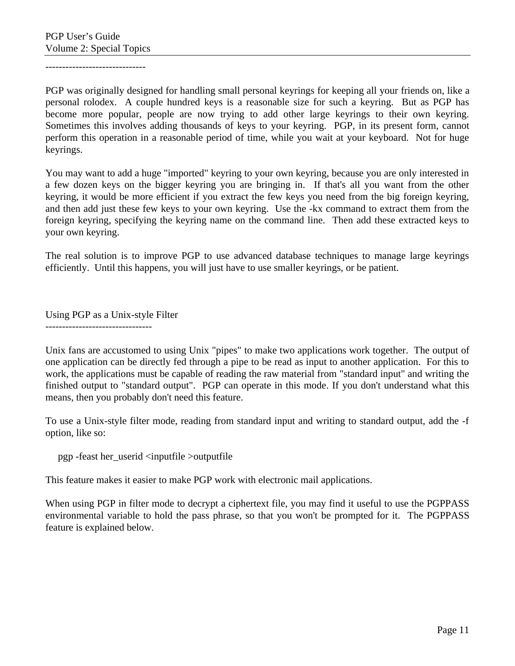------------------------------

PGP was originally designed for handling small personal keyrings for keeping all your friends on, like a personal rolodex. A couple hundred keys is a reasonable size for such a keyring. But as PGP has become more popular, people are now trying to add other large keyrings to their own keyring. Sometimes this involves adding thousands of keys to your keyring. PGP, in its present form, cannot perform this operation in a reasonable period of time, while you wait at your keyboard. Not for huge keyrings.

You may want to add a huge "imported" keyring to your own keyring, because you are only interested in a few dozen keys on the bigger keyring you are bringing in. If that's all you want from the other keyring, it would be more efficient if you extract the few keys you need from the big foreign keyring, and then add just these few keys to your own keyring. Use the -kx command to extract them from the foreign keyring, specifying the keyring name on the command line. Then add these extracted keys to your own keyring.

The real solution is to improve PGP to use advanced database techniques to manage large keyrings efficiently. Until this happens, you will just have to use smaller keyrings, or be patient.

Using PGP as a Unix-style Filter --------------------------------

Unix fans are accustomed to using Unix "pipes" to make two applications work together. The output of one application can be directly fed through a pipe to be read as input to another application. For this to work, the applications must be capable of reading the raw material from "standard input" and writing the finished output to "standard output". PGP can operate in this mode. If you don't understand what this means, then you probably don't need this feature.

To use a Unix-style filter mode, reading from standard input and writing to standard output, add the -f option, like so:

pgp -feast her\_userid <inputfile >outputfile

This feature makes it easier to make PGP work with electronic mail applications.

When using PGP in filter mode to decrypt a ciphertext file, you may find it useful to use the PGPPASS environmental variable to hold the pass phrase, so that you won't be prompted for it. The PGPPASS feature is explained below.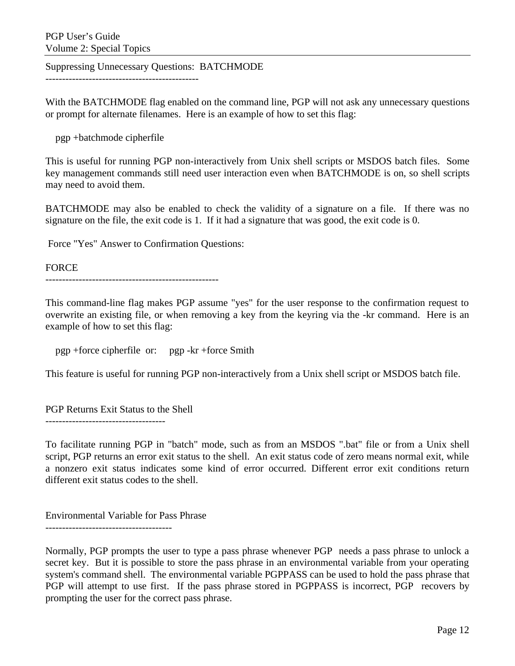# Suppressing Unnecessary Questions: BATCHMODE

With the BATCHMODE flag enabled on the command line, PGP will not ask any unnecessary questions or prompt for alternate filenames. Here is an example of how to set this flag:

pgp +batchmode cipherfile

This is useful for running PGP non-interactively from Unix shell scripts or MSDOS batch files. Some key management commands still need user interaction even when BATCHMODE is on, so shell scripts may need to avoid them.

BATCHMODE may also be enabled to check the validity of a signature on a file. If there was no signature on the file, the exit code is 1. If it had a signature that was good, the exit code is 0.

Force "Yes" Answer to Confirmation Questions:

FORCE ----------------------------------------------------

This command-line flag makes PGP assume "yes" for the user response to the confirmation request to overwrite an existing file, or when removing a key from the keyring via the -kr command. Here is an example of how to set this flag:

pgp +force cipherfile or: pgp -kr +force Smith

This feature is useful for running PGP non-interactively from a Unix shell script or MSDOS batch file.

PGP Returns Exit Status to the Shell

------------------------------------

To facilitate running PGP in "batch" mode, such as from an MSDOS ".bat" file or from a Unix shell script, PGP returns an error exit status to the shell. An exit status code of zero means normal exit, while a nonzero exit status indicates some kind of error occurred. Different error exit conditions return different exit status codes to the shell.

Environmental Variable for Pass Phrase

--------------------------------------

Normally, PGP prompts the user to type a pass phrase whenever PGP needs a pass phrase to unlock a secret key. But it is possible to store the pass phrase in an environmental variable from your operating system's command shell. The environmental variable PGPPASS can be used to hold the pass phrase that PGP will attempt to use first. If the pass phrase stored in PGPPASS is incorrect, PGP recovers by prompting the user for the correct pass phrase.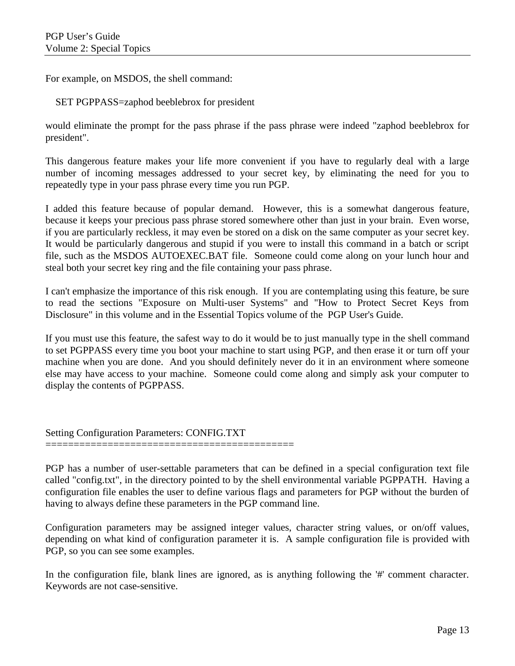For example, on MSDOS, the shell command:

SET PGPPASS=zaphod beeblebrox for president

would eliminate the prompt for the pass phrase if the pass phrase were indeed "zaphod beeblebrox for president".

This dangerous feature makes your life more convenient if you have to regularly deal with a large number of incoming messages addressed to your secret key, by eliminating the need for you to repeatedly type in your pass phrase every time you run PGP.

I added this feature because of popular demand. However, this is a somewhat dangerous feature, because it keeps your precious pass phrase stored somewhere other than just in your brain. Even worse, if you are particularly reckless, it may even be stored on a disk on the same computer as your secret key. It would be particularly dangerous and stupid if you were to install this command in a batch or script file, such as the MSDOS AUTOEXEC.BAT file. Someone could come along on your lunch hour and steal both your secret key ring and the file containing your pass phrase.

I can't emphasize the importance of this risk enough. If you are contemplating using this feature, be sure to read the sections "Exposure on Multi-user Systems" and "How to Protect Secret Keys from Disclosure" in this volume and in the Essential Topics volume of the PGP User's Guide.

If you must use this feature, the safest way to do it would be to just manually type in the shell command to set PGPPASS every time you boot your machine to start using PGP, and then erase it or turn off your machine when you are done. And you should definitely never do it in an environment where someone else may have access to your machine. Someone could come along and simply ask your computer to display the contents of PGPPASS.

# Setting Configuration Parameters: CONFIG.TXT

============================================

PGP has a number of user-settable parameters that can be defined in a special configuration text file called "config.txt", in the directory pointed to by the shell environmental variable PGPPATH. Having a configuration file enables the user to define various flags and parameters for PGP without the burden of having to always define these parameters in the PGP command line.

Configuration parameters may be assigned integer values, character string values, or on/off values, depending on what kind of configuration parameter it is. A sample configuration file is provided with PGP, so you can see some examples.

In the configuration file, blank lines are ignored, as is anything following the '#' comment character. Keywords are not case-sensitive.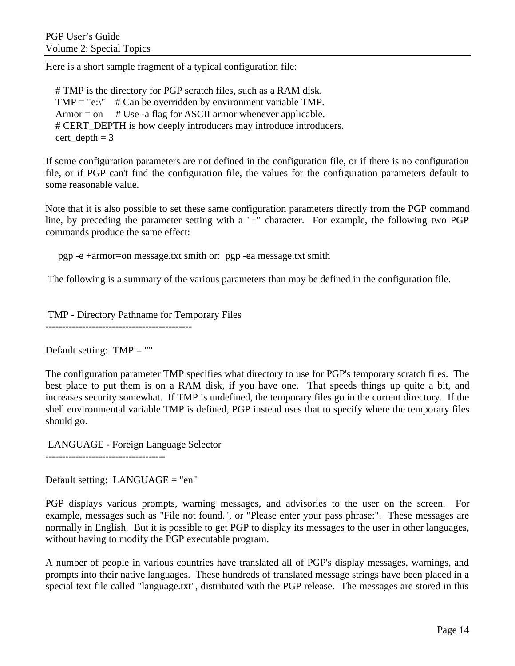Here is a short sample fragment of a typical configuration file:

 # TMP is the directory for PGP scratch files, such as a RAM disk.  $TMP = "e$ :\" # Can be overridden by environment variable TMP.  $Armor = on$  # Use -a flag for ASCII armor whenever applicable. # CERT\_DEPTH is how deeply introducers may introduce introducers.  $cert\_depth = 3$ 

If some configuration parameters are not defined in the configuration file, or if there is no configuration file, or if PGP can't find the configuration file, the values for the configuration parameters default to some reasonable value.

Note that it is also possible to set these same configuration parameters directly from the PGP command line, by preceding the parameter setting with a "+" character. For example, the following two PGP commands produce the same effect:

pgp -e +armor=on message.txt smith or: pgp -ea message.txt smith

The following is a summary of the various parameters than may be defined in the configuration file.

TMP - Directory Pathname for Temporary Files

--------------------------------------------

Default setting:  $TMP =$ ""

The configuration parameter TMP specifies what directory to use for PGP's temporary scratch files. The best place to put them is on a RAM disk, if you have one. That speeds things up quite a bit, and increases security somewhat. If TMP is undefined, the temporary files go in the current directory. If the shell environmental variable TMP is defined, PGP instead uses that to specify where the temporary files should go.

LANGUAGE - Foreign Language Selector

Default setting: LANGUAGE = "en"

------------------------------------

PGP displays various prompts, warning messages, and advisories to the user on the screen. For example, messages such as "File not found.", or "Please enter your pass phrase:". These messages are normally in English. But it is possible to get PGP to display its messages to the user in other languages, without having to modify the PGP executable program.

A number of people in various countries have translated all of PGP's display messages, warnings, and prompts into their native languages. These hundreds of translated message strings have been placed in a special text file called "language.txt", distributed with the PGP release. The messages are stored in this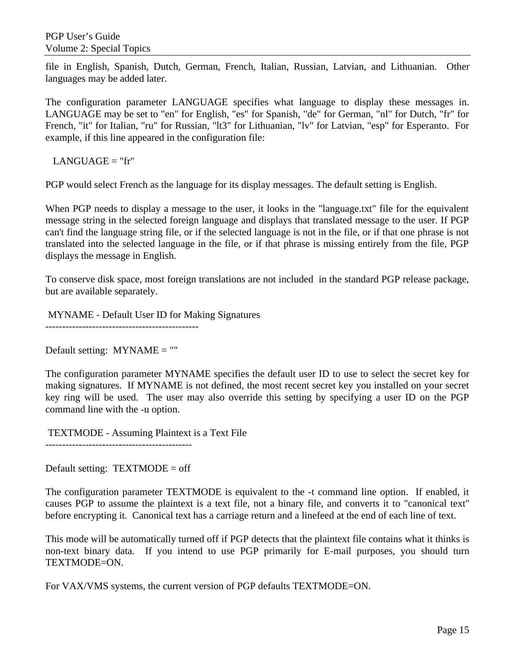file in English, Spanish, Dutch, German, French, Italian, Russian, Latvian, and Lithuanian. Other languages may be added later.

The configuration parameter LANGUAGE specifies what language to display these messages in. LANGUAGE may be set to "en" for English, "es" for Spanish, "de" for German, "nl" for Dutch, "fr" for French, "it" for Italian, "ru" for Russian, "lt3" for Lithuanian, "lv" for Latvian, "esp" for Esperanto. For example, if this line appeared in the configuration file:

 $LANGUAGE = "fr"$ 

PGP would select French as the language for its display messages. The default setting is English.

When PGP needs to display a message to the user, it looks in the "language.txt" file for the equivalent message string in the selected foreign language and displays that translated message to the user. If PGP can't find the language string file, or if the selected language is not in the file, or if that one phrase is not translated into the selected language in the file, or if that phrase is missing entirely from the file, PGP displays the message in English.

To conserve disk space, most foreign translations are not included in the standard PGP release package, but are available separately.

MYNAME - Default User ID for Making Signatures

----------------------------------------------

Default setting: MYNAME = ""

The configuration parameter MYNAME specifies the default user ID to use to select the secret key for making signatures. If MYNAME is not defined, the most recent secret key you installed on your secret key ring will be used. The user may also override this setting by specifying a user ID on the PGP command line with the -u option.

TEXTMODE - Assuming Plaintext is a Text File

--------------------------------------------

Default setting: TEXTMODE = off

The configuration parameter TEXTMODE is equivalent to the -t command line option. If enabled, it causes PGP to assume the plaintext is a text file, not a binary file, and converts it to "canonical text" before encrypting it. Canonical text has a carriage return and a linefeed at the end of each line of text.

This mode will be automatically turned off if PGP detects that the plaintext file contains what it thinks is non-text binary data. If you intend to use PGP primarily for E-mail purposes, you should turn TEXTMODE=ON.

For VAX/VMS systems, the current version of PGP defaults TEXTMODE=ON.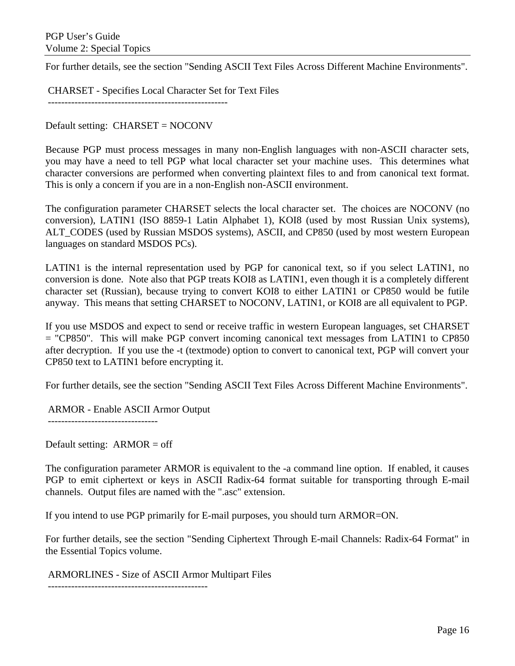For further details, see the section "Sending ASCII Text Files Across Different Machine Environments".

 CHARSET - Specifies Local Character Set for Text Files ------------------------------------------------------

Default setting: CHARSET = NOCONV

Because PGP must process messages in many non-English languages with non-ASCII character sets, you may have a need to tell PGP what local character set your machine uses. This determines what character conversions are performed when converting plaintext files to and from canonical text format. This is only a concern if you are in a non-English non-ASCII environment.

The configuration parameter CHARSET selects the local character set. The choices are NOCONV (no conversion), LATIN1 (ISO 8859-1 Latin Alphabet 1), KOI8 (used by most Russian Unix systems), ALT\_CODES (used by Russian MSDOS systems), ASCII, and CP850 (used by most western European languages on standard MSDOS PCs).

LATIN1 is the internal representation used by PGP for canonical text, so if you select LATIN1, no conversion is done. Note also that PGP treats KOI8 as LATIN1, even though it is a completely different character set (Russian), because trying to convert KOI8 to either LATIN1 or CP850 would be futile anyway. This means that setting CHARSET to NOCONV, LATIN1, or KOI8 are all equivalent to PGP.

If you use MSDOS and expect to send or receive traffic in western European languages, set CHARSET = "CP850". This will make PGP convert incoming canonical text messages from LATIN1 to CP850 after decryption. If you use the -t (textmode) option to convert to canonical text, PGP will convert your CP850 text to LATIN1 before encrypting it.

For further details, see the section "Sending ASCII Text Files Across Different Machine Environments".

ARMOR - Enable ASCII Armor Output

---------------------------------

Default setting:  $ARMOR = off$ 

The configuration parameter ARMOR is equivalent to the -a command line option. If enabled, it causes PGP to emit ciphertext or keys in ASCII Radix-64 format suitable for transporting through E-mail channels. Output files are named with the ".asc" extension.

If you intend to use PGP primarily for E-mail purposes, you should turn ARMOR=ON.

For further details, see the section "Sending Ciphertext Through E-mail Channels: Radix-64 Format" in the Essential Topics volume.

ARMORLINES - Size of ASCII Armor Multipart Files

------------------------------------------------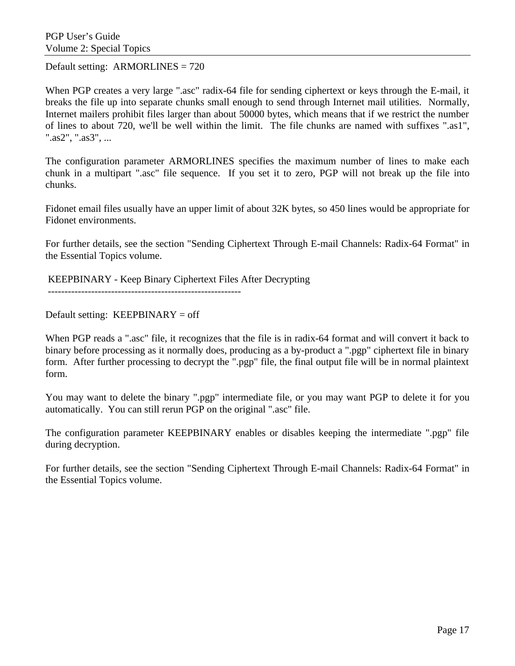Default setting: ARMORLINES = 720

When PGP creates a very large ".asc" radix-64 file for sending ciphertext or keys through the E-mail, it breaks the file up into separate chunks small enough to send through Internet mail utilities. Normally, Internet mailers prohibit files larger than about 50000 bytes, which means that if we restrict the number of lines to about 720, we'll be well within the limit. The file chunks are named with suffixes ".as1", ".as2", ".as3", ...

The configuration parameter ARMORLINES specifies the maximum number of lines to make each chunk in a multipart ".asc" file sequence. If you set it to zero, PGP will not break up the file into chunks.

Fidonet email files usually have an upper limit of about 32K bytes, so 450 lines would be appropriate for Fidonet environments.

For further details, see the section "Sending Ciphertext Through E-mail Channels: Radix-64 Format" in the Essential Topics volume.

KEEPBINARY - Keep Binary Ciphertext Files After Decrypting

----------------------------------------------------------

Default setting: KEEPBINARY = off

When PGP reads a ".asc" file, it recognizes that the file is in radix-64 format and will convert it back to binary before processing as it normally does, producing as a by-product a ".pgp" ciphertext file in binary form. After further processing to decrypt the ".pgp" file, the final output file will be in normal plaintext form.

You may want to delete the binary ".pgp" intermediate file, or you may want PGP to delete it for you automatically. You can still rerun PGP on the original ".asc" file.

The configuration parameter KEEPBINARY enables or disables keeping the intermediate ".pgp" file during decryption.

For further details, see the section "Sending Ciphertext Through E-mail Channels: Radix-64 Format" in the Essential Topics volume.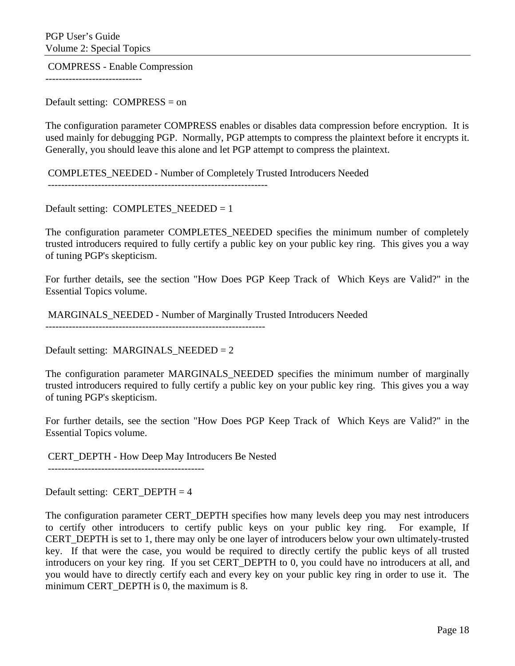#### COMPRESS - Enable Compression

-----------------------------

Default setting: COMPRESS = on

The configuration parameter COMPRESS enables or disables data compression before encryption. It is used mainly for debugging PGP. Normally, PGP attempts to compress the plaintext before it encrypts it. Generally, you should leave this alone and let PGP attempt to compress the plaintext.

COMPLETES\_NEEDED - Number of Completely Trusted Introducers Needed

------------------------------------------------------------------

Default setting: COMPLETES NEEDED =  $1$ 

The configuration parameter COMPLETES NEEDED specifies the minimum number of completely trusted introducers required to fully certify a public key on your public key ring. This gives you a way of tuning PGP's skepticism.

For further details, see the section "How Does PGP Keep Track of Which Keys are Valid?" in the Essential Topics volume.

 MARGINALS\_NEEDED - Number of Marginally Trusted Introducers Needed ------------------------------------------------------------------

Default setting: MARGINALS\_NEEDED =  $2$ 

The configuration parameter MARGINALS\_NEEDED specifies the minimum number of marginally trusted introducers required to fully certify a public key on your public key ring. This gives you a way of tuning PGP's skepticism.

For further details, see the section "How Does PGP Keep Track of Which Keys are Valid?" in the Essential Topics volume.

CERT\_DEPTH - How Deep May Introducers Be Nested

-----------------------------------------------

Default setting: CERT\_DEPTH  $= 4$ 

The configuration parameter CERT\_DEPTH specifies how many levels deep you may nest introducers to certify other introducers to certify public keys on your public key ring. For example, If CERT DEPTH is set to 1, there may only be one layer of introducers below your own ultimately-trusted key. If that were the case, you would be required to directly certify the public keys of all trusted introducers on your key ring. If you set CERT\_DEPTH to 0, you could have no introducers at all, and you would have to directly certify each and every key on your public key ring in order to use it. The minimum CERT\_DEPTH is 0, the maximum is 8.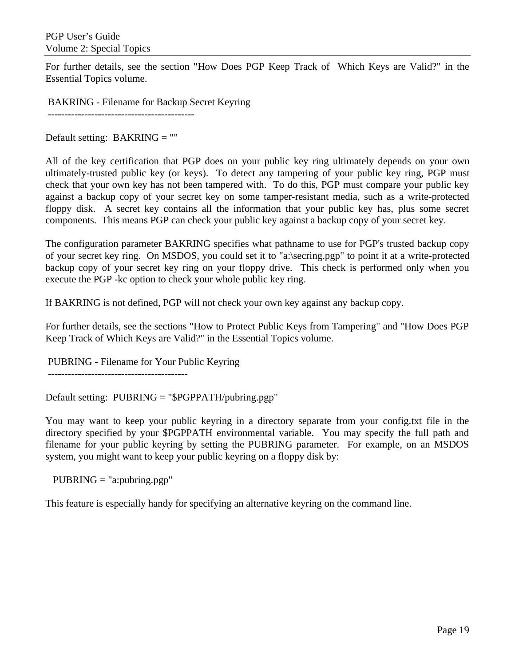For further details, see the section "How Does PGP Keep Track of Which Keys are Valid?" in the Essential Topics volume.

 BAKRING - Filename for Backup Secret Keyring --------------------------------------------

Default setting: BAKRING = ""

All of the key certification that PGP does on your public key ring ultimately depends on your own ultimately-trusted public key (or keys). To detect any tampering of your public key ring, PGP must check that your own key has not been tampered with. To do this, PGP must compare your public key against a backup copy of your secret key on some tamper-resistant media, such as a write-protected floppy disk. A secret key contains all the information that your public key has, plus some secret components. This means PGP can check your public key against a backup copy of your secret key.

The configuration parameter BAKRING specifies what pathname to use for PGP's trusted backup copy of your secret key ring. On MSDOS, you could set it to "a:\secring.pgp" to point it at a write-protected backup copy of your secret key ring on your floppy drive. This check is performed only when you execute the PGP -kc option to check your whole public key ring.

If BAKRING is not defined, PGP will not check your own key against any backup copy.

For further details, see the sections "How to Protect Public Keys from Tampering" and "How Does PGP Keep Track of Which Keys are Valid?" in the Essential Topics volume.

PUBRING - Filename for Your Public Keyring

Default setting: PUBRING = "\$PGPPATH/pubring.pgp"

You may want to keep your public keyring in a directory separate from your config.txt file in the directory specified by your \$PGPPATH environmental variable. You may specify the full path and filename for your public keyring by setting the PUBRING parameter. For example, on an MSDOS system, you might want to keep your public keyring on a floppy disk by:

PUBRING = "a:pubring.pgp"

This feature is especially handy for specifying an alternative keyring on the command line.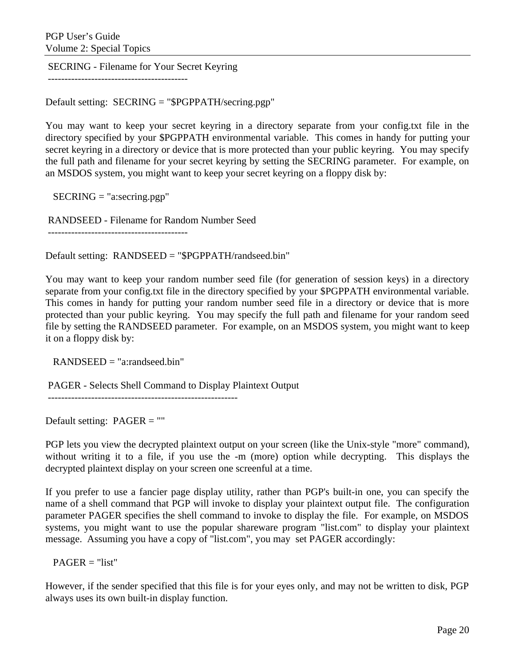PGP User's Guide Volume 2: Special Topics

SECRING - Filename for Your Secret Keyring

------------------------------------------

Default setting: SECRING = "\$PGPPATH/secring.pgp"

You may want to keep your secret keyring in a directory separate from your config.txt file in the directory specified by your \$PGPPATH environmental variable. This comes in handy for putting your secret keyring in a directory or device that is more protected than your public keyring. You may specify the full path and filename for your secret keyring by setting the SECRING parameter. For example, on an MSDOS system, you might want to keep your secret keyring on a floppy disk by:

SECRING = "a:secring.pgp"

RANDSEED - Filename for Random Number Seed

------------------------------------------

Default setting: RANDSEED = "\$PGPPATH/randseed.bin"

You may want to keep your random number seed file (for generation of session keys) in a directory separate from your config.txt file in the directory specified by your \$PGPPATH environmental variable. This comes in handy for putting your random number seed file in a directory or device that is more protected than your public keyring. You may specify the full path and filename for your random seed file by setting the RANDSEED parameter. For example, on an MSDOS system, you might want to keep it on a floppy disk by:

RANDSEED = "a:randseed.bin"

---------------------------------------------------------

PAGER - Selects Shell Command to Display Plaintext Output

Default setting: PAGER = ""

PGP lets you view the decrypted plaintext output on your screen (like the Unix-style "more" command), without writing it to a file, if you use the -m (more) option while decrypting. This displays the decrypted plaintext display on your screen one screenful at a time.

If you prefer to use a fancier page display utility, rather than PGP's built-in one, you can specify the name of a shell command that PGP will invoke to display your plaintext output file. The configuration parameter PAGER specifies the shell command to invoke to display the file. For example, on MSDOS systems, you might want to use the popular shareware program "list.com" to display your plaintext message. Assuming you have a copy of "list.com", you may set PAGER accordingly:

 $PAGER = "list"$ 

However, if the sender specified that this file is for your eyes only, and may not be written to disk, PGP always uses its own built-in display function.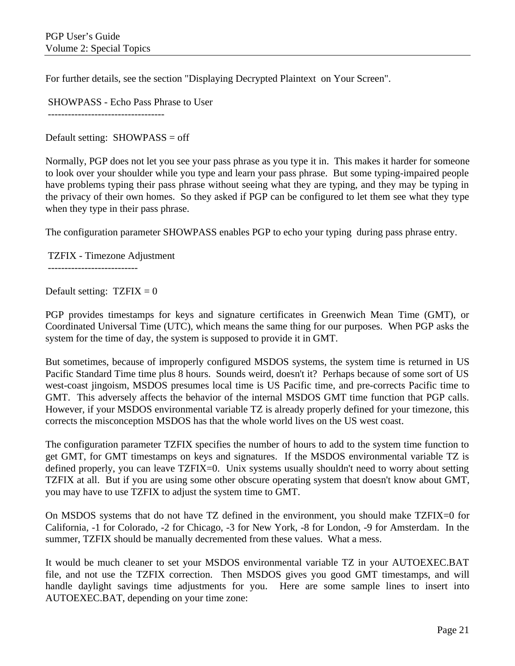For further details, see the section "Displaying Decrypted Plaintext on Your Screen".

SHOWPASS - Echo Pass Phrase to User

-----------------------------------

Default setting: SHOWPASS = off

Normally, PGP does not let you see your pass phrase as you type it in. This makes it harder for someone to look over your shoulder while you type and learn your pass phrase. But some typing-impaired people have problems typing their pass phrase without seeing what they are typing, and they may be typing in the privacy of their own homes. So they asked if PGP can be configured to let them see what they type when they type in their pass phrase.

The configuration parameter SHOWPASS enables PGP to echo your typing during pass phrase entry.

TZFIX - Timezone Adjustment

Default setting:  $TZFIX = 0$ 

PGP provides timestamps for keys and signature certificates in Greenwich Mean Time (GMT), or Coordinated Universal Time (UTC), which means the same thing for our purposes. When PGP asks the system for the time of day, the system is supposed to provide it in GMT.

But sometimes, because of improperly configured MSDOS systems, the system time is returned in US Pacific Standard Time time plus 8 hours. Sounds weird, doesn't it? Perhaps because of some sort of US west-coast jingoism, MSDOS presumes local time is US Pacific time, and pre-corrects Pacific time to GMT. This adversely affects the behavior of the internal MSDOS GMT time function that PGP calls. However, if your MSDOS environmental variable TZ is already properly defined for your timezone, this corrects the misconception MSDOS has that the whole world lives on the US west coast.

The configuration parameter TZFIX specifies the number of hours to add to the system time function to get GMT, for GMT timestamps on keys and signatures. If the MSDOS environmental variable TZ is defined properly, you can leave TZFIX=0. Unix systems usually shouldn't need to worry about setting TZFIX at all. But if you are using some other obscure operating system that doesn't know about GMT, you may have to use TZFIX to adjust the system time to GMT.

On MSDOS systems that do not have TZ defined in the environment, you should make TZFIX=0 for California, -1 for Colorado, -2 for Chicago, -3 for New York, -8 for London, -9 for Amsterdam. In the summer, TZFIX should be manually decremented from these values. What a mess.

It would be much cleaner to set your MSDOS environmental variable TZ in your AUTOEXEC.BAT file, and not use the TZFIX correction. Then MSDOS gives you good GMT timestamps, and will handle daylight savings time adjustments for you. Here are some sample lines to insert into AUTOEXEC.BAT, depending on your time zone: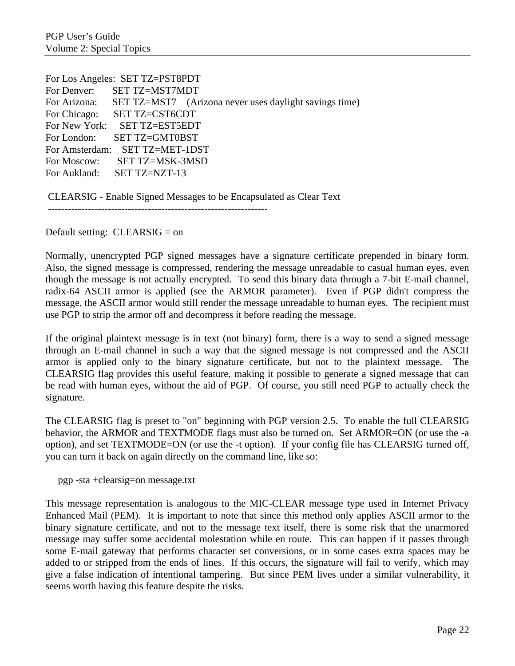For Los Angeles: SET TZ=PST8PDT For Denver: SET TZ=MST7MDT For Arizona: SET TZ=MST7 (Arizona never uses daylight savings time) For Chicago: SET TZ=CST6CDT For New York: SET TZ=EST5EDT For London: SET TZ=GMT0BST For Amsterdam: SET TZ=MET-1DST For Moscow: SET TZ=MSK-3MSD For Aukland: SET TZ=NZT-13

CLEARSIG - Enable Signed Messages to be Encapsulated as Clear Text

------------------------------------------------------------------

Default setting: CLEARSIG = on

Normally, unencrypted PGP signed messages have a signature certificate prepended in binary form. Also, the signed message is compressed, rendering the message unreadable to casual human eyes, even though the message is not actually encrypted. To send this binary data through a 7-bit E-mail channel, radix-64 ASCII armor is applied (see the ARMOR parameter). Even if PGP didn't compress the message, the ASCII armor would still render the message unreadable to human eyes. The recipient must use PGP to strip the armor off and decompress it before reading the message.

If the original plaintext message is in text (not binary) form, there is a way to send a signed message through an E-mail channel in such a way that the signed message is not compressed and the ASCII armor is applied only to the binary signature certificate, but not to the plaintext message. The CLEARSIG flag provides this useful feature, making it possible to generate a signed message that can be read with human eyes, without the aid of PGP. Of course, you still need PGP to actually check the signature.

The CLEARSIG flag is preset to "on" beginning with PGP version 2.5. To enable the full CLEARSIG behavior, the ARMOR and TEXTMODE flags must also be turned on. Set ARMOR=ON (or use the -a option), and set TEXTMODE=ON (or use the -t option). If your config file has CLEARSIG turned off, you can turn it back on again directly on the command line, like so:

pgp -sta +clearsig=on message.txt

This message representation is analogous to the MIC-CLEAR message type used in Internet Privacy Enhanced Mail (PEM). It is important to note that since this method only applies ASCII armor to the binary signature certificate, and not to the message text itself, there is some risk that the unarmored message may suffer some accidental molestation while en route. This can happen if it passes through some E-mail gateway that performs character set conversions, or in some cases extra spaces may be added to or stripped from the ends of lines. If this occurs, the signature will fail to verify, which may give a false indication of intentional tampering. But since PEM lives under a similar vulnerability, it seems worth having this feature despite the risks.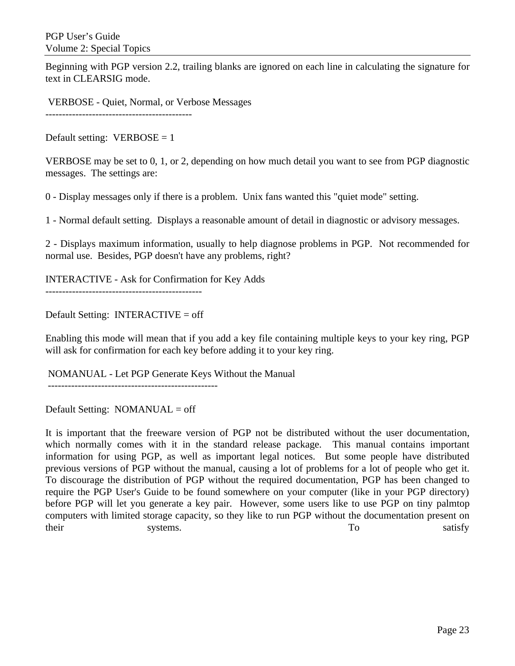Beginning with PGP version 2.2, trailing blanks are ignored on each line in calculating the signature for text in CLEARSIG mode.

 VERBOSE - Quiet, Normal, or Verbose Messages --------------------------------------------

Default setting:  $VERBOSE = 1$ 

VERBOSE may be set to 0, 1, or 2, depending on how much detail you want to see from PGP diagnostic messages. The settings are:

0 - Display messages only if there is a problem. Unix fans wanted this "quiet mode" setting.

1 - Normal default setting. Displays a reasonable amount of detail in diagnostic or advisory messages.

2 - Displays maximum information, usually to help diagnose problems in PGP. Not recommended for normal use. Besides, PGP doesn't have any problems, right?

INTERACTIVE - Ask for Confirmation for Key Adds

-----------------------------------------------

Default Setting: INTERACTIVE = off

Enabling this mode will mean that if you add a key file containing multiple keys to your key ring, PGP will ask for confirmation for each key before adding it to your key ring.

NOMANUAL - Let PGP Generate Keys Without the Manual

---------------------------------------------------

Default Setting: NOMANUAL = off

It is important that the freeware version of PGP not be distributed without the user documentation, which normally comes with it in the standard release package. This manual contains important information for using PGP, as well as important legal notices. But some people have distributed previous versions of PGP without the manual, causing a lot of problems for a lot of people who get it. To discourage the distribution of PGP without the required documentation, PGP has been changed to require the PGP User's Guide to be found somewhere on your computer (like in your PGP directory) before PGP will let you generate a key pair. However, some users like to use PGP on tiny palmtop computers with limited storage capacity, so they like to run PGP without the documentation present on their systems. To satisfy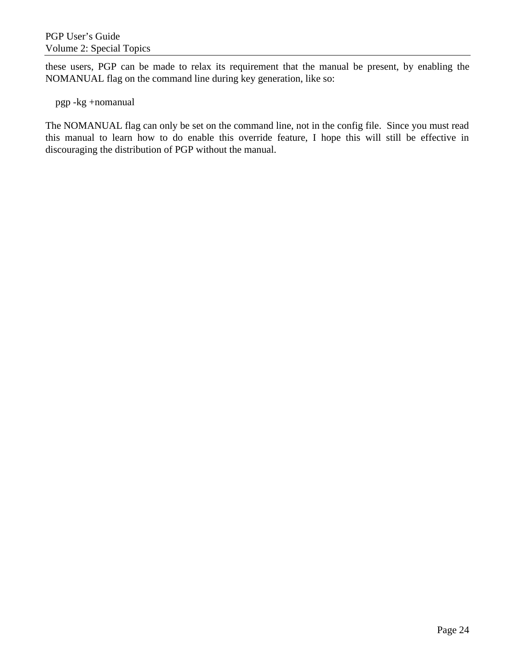these users, PGP can be made to relax its requirement that the manual be present, by enabling the NOMANUAL flag on the command line during key generation, like so:

pgp -kg +nomanual

The NOMANUAL flag can only be set on the command line, not in the config file. Since you must read this manual to learn how to do enable this override feature, I hope this will still be effective in discouraging the distribution of PGP without the manual.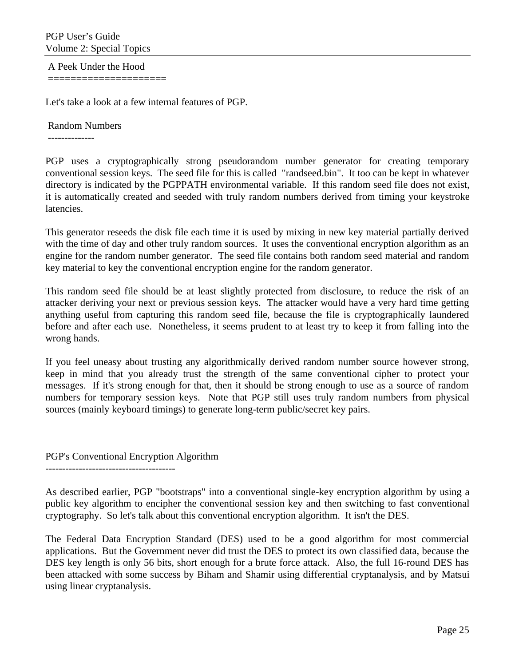A Peek Under the Hood =====================

Let's take a look at a few internal features of PGP.

Random Numbers

PGP uses a cryptographically strong pseudorandom number generator for creating temporary conventional session keys. The seed file for this is called "randseed.bin". It too can be kept in whatever directory is indicated by the PGPPATH environmental variable. If this random seed file does not exist, it is automatically created and seeded with truly random numbers derived from timing your keystroke latencies.

This generator reseeds the disk file each time it is used by mixing in new key material partially derived with the time of day and other truly random sources. It uses the conventional encryption algorithm as an engine for the random number generator. The seed file contains both random seed material and random key material to key the conventional encryption engine for the random generator.

This random seed file should be at least slightly protected from disclosure, to reduce the risk of an attacker deriving your next or previous session keys. The attacker would have a very hard time getting anything useful from capturing this random seed file, because the file is cryptographically laundered before and after each use. Nonetheless, it seems prudent to at least try to keep it from falling into the wrong hands.

If you feel uneasy about trusting any algorithmically derived random number source however strong, keep in mind that you already trust the strength of the same conventional cipher to protect your messages. If it's strong enough for that, then it should be strong enough to use as a source of random numbers for temporary session keys. Note that PGP still uses truly random numbers from physical sources (mainly keyboard timings) to generate long-term public/secret key pairs.

PGP's Conventional Encryption Algorithm

---------------------------------------

As described earlier, PGP "bootstraps" into a conventional single-key encryption algorithm by using a public key algorithm to encipher the conventional session key and then switching to fast conventional cryptography. So let's talk about this conventional encryption algorithm. It isn't the DES.

The Federal Data Encryption Standard (DES) used to be a good algorithm for most commercial applications. But the Government never did trust the DES to protect its own classified data, because the DES key length is only 56 bits, short enough for a brute force attack. Also, the full 16-round DES has been attacked with some success by Biham and Shamir using differential cryptanalysis, and by Matsui using linear cryptanalysis.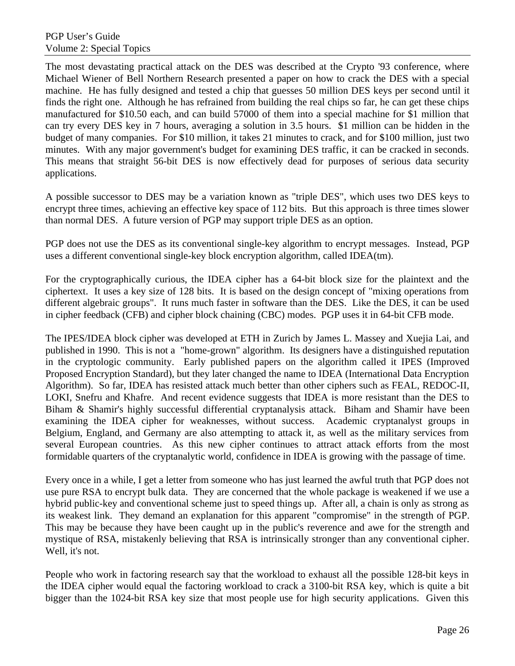The most devastating practical attack on the DES was described at the Crypto '93 conference, where Michael Wiener of Bell Northern Research presented a paper on how to crack the DES with a special machine. He has fully designed and tested a chip that guesses 50 million DES keys per second until it finds the right one. Although he has refrained from building the real chips so far, he can get these chips manufactured for \$10.50 each, and can build 57000 of them into a special machine for \$1 million that can try every DES key in 7 hours, averaging a solution in 3.5 hours. \$1 million can be hidden in the budget of many companies. For \$10 million, it takes 21 minutes to crack, and for \$100 million, just two minutes. With any major government's budget for examining DES traffic, it can be cracked in seconds. This means that straight 56-bit DES is now effectively dead for purposes of serious data security applications.

A possible successor to DES may be a variation known as "triple DES", which uses two DES keys to encrypt three times, achieving an effective key space of 112 bits. But this approach is three times slower than normal DES. A future version of PGP may support triple DES as an option.

PGP does not use the DES as its conventional single-key algorithm to encrypt messages. Instead, PGP uses a different conventional single-key block encryption algorithm, called IDEA(tm).

For the cryptographically curious, the IDEA cipher has a 64-bit block size for the plaintext and the ciphertext. It uses a key size of 128 bits. It is based on the design concept of "mixing operations from different algebraic groups". It runs much faster in software than the DES. Like the DES, it can be used in cipher feedback (CFB) and cipher block chaining (CBC) modes. PGP uses it in 64-bit CFB mode.

The IPES/IDEA block cipher was developed at ETH in Zurich by James L. Massey and Xuejia Lai, and published in 1990. This is not a "home-grown" algorithm. Its designers have a distinguished reputation in the cryptologic community. Early published papers on the algorithm called it IPES (Improved Proposed Encryption Standard), but they later changed the name to IDEA (International Data Encryption Algorithm). So far, IDEA has resisted attack much better than other ciphers such as FEAL, REDOC-II, LOKI, Snefru and Khafre. And recent evidence suggests that IDEA is more resistant than the DES to Biham & Shamir's highly successful differential cryptanalysis attack. Biham and Shamir have been examining the IDEA cipher for weaknesses, without success. Academic cryptanalyst groups in Belgium, England, and Germany are also attempting to attack it, as well as the military services from several European countries. As this new cipher continues to attract attack efforts from the most formidable quarters of the cryptanalytic world, confidence in IDEA is growing with the passage of time.

Every once in a while, I get a letter from someone who has just learned the awful truth that PGP does not use pure RSA to encrypt bulk data. They are concerned that the whole package is weakened if we use a hybrid public-key and conventional scheme just to speed things up. After all, a chain is only as strong as its weakest link. They demand an explanation for this apparent "compromise" in the strength of PGP. This may be because they have been caught up in the public's reverence and awe for the strength and mystique of RSA, mistakenly believing that RSA is intrinsically stronger than any conventional cipher. Well, it's not.

People who work in factoring research say that the workload to exhaust all the possible 128-bit keys in the IDEA cipher would equal the factoring workload to crack a 3100-bit RSA key, which is quite a bit bigger than the 1024-bit RSA key size that most people use for high security applications. Given this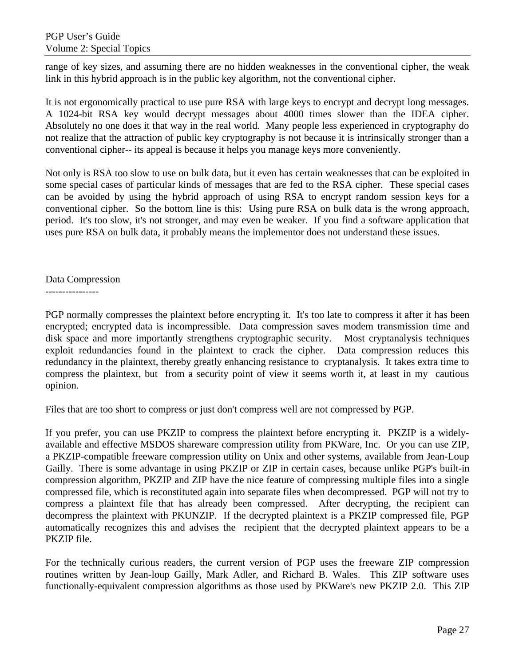range of key sizes, and assuming there are no hidden weaknesses in the conventional cipher, the weak link in this hybrid approach is in the public key algorithm, not the conventional cipher.

It is not ergonomically practical to use pure RSA with large keys to encrypt and decrypt long messages. A 1024-bit RSA key would decrypt messages about 4000 times slower than the IDEA cipher. Absolutely no one does it that way in the real world. Many people less experienced in cryptography do not realize that the attraction of public key cryptography is not because it is intrinsically stronger than a conventional cipher-- its appeal is because it helps you manage keys more conveniently.

Not only is RSA too slow to use on bulk data, but it even has certain weaknesses that can be exploited in some special cases of particular kinds of messages that are fed to the RSA cipher. These special cases can be avoided by using the hybrid approach of using RSA to encrypt random session keys for a conventional cipher. So the bottom line is this: Using pure RSA on bulk data is the wrong approach, period. It's too slow, it's not stronger, and may even be weaker. If you find a software application that uses pure RSA on bulk data, it probably means the implementor does not understand these issues.

Data Compression

----------------

PGP normally compresses the plaintext before encrypting it. It's too late to compress it after it has been encrypted; encrypted data is incompressible. Data compression saves modem transmission time and disk space and more importantly strengthens cryptographic security. Most cryptanalysis techniques exploit redundancies found in the plaintext to crack the cipher. Data compression reduces this redundancy in the plaintext, thereby greatly enhancing resistance to cryptanalysis. It takes extra time to compress the plaintext, but from a security point of view it seems worth it, at least in my cautious opinion.

Files that are too short to compress or just don't compress well are not compressed by PGP.

If you prefer, you can use PKZIP to compress the plaintext before encrypting it. PKZIP is a widelyavailable and effective MSDOS shareware compression utility from PKWare, Inc. Or you can use ZIP, a PKZIP-compatible freeware compression utility on Unix and other systems, available from Jean-Loup Gailly. There is some advantage in using PKZIP or ZIP in certain cases, because unlike PGP's built-in compression algorithm, PKZIP and ZIP have the nice feature of compressing multiple files into a single compressed file, which is reconstituted again into separate files when decompressed. PGP will not try to compress a plaintext file that has already been compressed. After decrypting, the recipient can decompress the plaintext with PKUNZIP. If the decrypted plaintext is a PKZIP compressed file, PGP automatically recognizes this and advises the recipient that the decrypted plaintext appears to be a PKZIP file.

For the technically curious readers, the current version of PGP uses the freeware ZIP compression routines written by Jean-loup Gailly, Mark Adler, and Richard B. Wales. This ZIP software uses functionally-equivalent compression algorithms as those used by PKWare's new PKZIP 2.0. This ZIP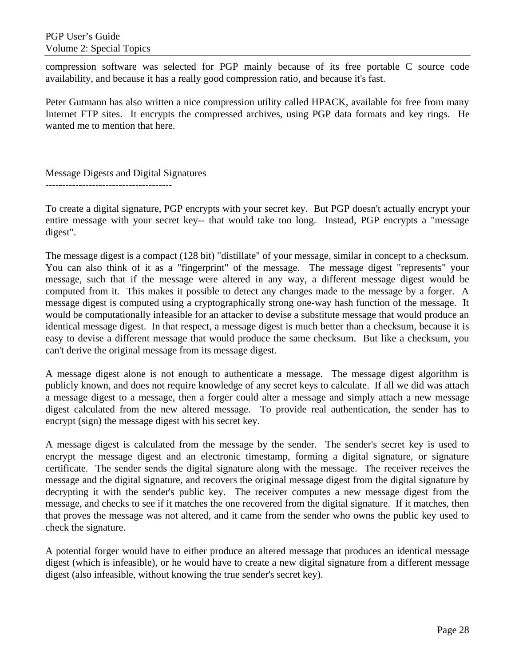compression software was selected for PGP mainly because of its free portable C source code availability, and because it has a really good compression ratio, and because it's fast.

Peter Gutmann has also written a nice compression utility called HPACK, available for free from many Internet FTP sites. It encrypts the compressed archives, using PGP data formats and key rings. He wanted me to mention that here.

Message Digests and Digital Signatures --------------------------------------

To create a digital signature, PGP encrypts with your secret key. But PGP doesn't actually encrypt your entire message with your secret key-- that would take too long. Instead, PGP encrypts a "message digest".

The message digest is a compact (128 bit) "distillate" of your message, similar in concept to a checksum. You can also think of it as a "fingerprint" of the message. The message digest "represents" your message, such that if the message were altered in any way, a different message digest would be computed from it. This makes it possible to detect any changes made to the message by a forger. A message digest is computed using a cryptographically strong one-way hash function of the message. It would be computationally infeasible for an attacker to devise a substitute message that would produce an identical message digest. In that respect, a message digest is much better than a checksum, because it is easy to devise a different message that would produce the same checksum. But like a checksum, you can't derive the original message from its message digest.

A message digest alone is not enough to authenticate a message. The message digest algorithm is publicly known, and does not require knowledge of any secret keys to calculate. If all we did was attach a message digest to a message, then a forger could alter a message and simply attach a new message digest calculated from the new altered message. To provide real authentication, the sender has to encrypt (sign) the message digest with his secret key.

A message digest is calculated from the message by the sender. The sender's secret key is used to encrypt the message digest and an electronic timestamp, forming a digital signature, or signature certificate. The sender sends the digital signature along with the message. The receiver receives the message and the digital signature, and recovers the original message digest from the digital signature by decrypting it with the sender's public key. The receiver computes a new message digest from the message, and checks to see if it matches the one recovered from the digital signature. If it matches, then that proves the message was not altered, and it came from the sender who owns the public key used to check the signature.

A potential forger would have to either produce an altered message that produces an identical message digest (which is infeasible), or he would have to create a new digital signature from a different message digest (also infeasible, without knowing the true sender's secret key).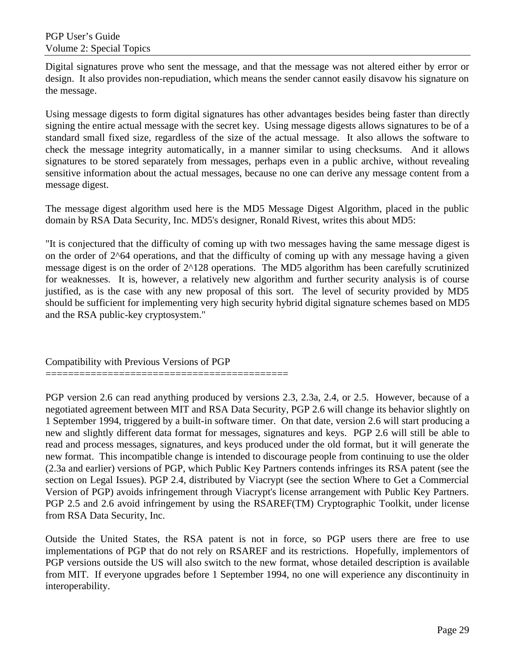Digital signatures prove who sent the message, and that the message was not altered either by error or design. It also provides non-repudiation, which means the sender cannot easily disavow his signature on the message.

Using message digests to form digital signatures has other advantages besides being faster than directly signing the entire actual message with the secret key. Using message digests allows signatures to be of a standard small fixed size, regardless of the size of the actual message. It also allows the software to check the message integrity automatically, in a manner similar to using checksums. And it allows signatures to be stored separately from messages, perhaps even in a public archive, without revealing sensitive information about the actual messages, because no one can derive any message content from a message digest.

The message digest algorithm used here is the MD5 Message Digest Algorithm, placed in the public domain by RSA Data Security, Inc. MD5's designer, Ronald Rivest, writes this about MD5:

"It is conjectured that the difficulty of coming up with two messages having the same message digest is on the order of 2^64 operations, and that the difficulty of coming up with any message having a given message digest is on the order of 2^128 operations. The MD5 algorithm has been carefully scrutinized for weaknesses. It is, however, a relatively new algorithm and further security analysis is of course justified, as is the case with any new proposal of this sort. The level of security provided by MD5 should be sufficient for implementing very high security hybrid digital signature schemes based on MD5 and the RSA public-key cryptosystem."

Compatibility with Previous Versions of PGP

===========================================

PGP version 2.6 can read anything produced by versions 2.3, 2.3a, 2.4, or 2.5. However, because of a negotiated agreement between MIT and RSA Data Security, PGP 2.6 will change its behavior slightly on 1 September 1994, triggered by a built-in software timer. On that date, version 2.6 will start producing a new and slightly different data format for messages, signatures and keys. PGP 2.6 will still be able to read and process messages, signatures, and keys produced under the old format, but it will generate the new format. This incompatible change is intended to discourage people from continuing to use the older (2.3a and earlier) versions of PGP, which Public Key Partners contends infringes its RSA patent (see the section on Legal Issues). PGP 2.4, distributed by Viacrypt (see the section Where to Get a Commercial Version of PGP) avoids infringement through Viacrypt's license arrangement with Public Key Partners. PGP 2.5 and 2.6 avoid infringement by using the RSAREF(TM) Cryptographic Toolkit, under license from RSA Data Security, Inc.

Outside the United States, the RSA patent is not in force, so PGP users there are free to use implementations of PGP that do not rely on RSAREF and its restrictions. Hopefully, implementors of PGP versions outside the US will also switch to the new format, whose detailed description is available from MIT. If everyone upgrades before 1 September 1994, no one will experience any discontinuity in interoperability.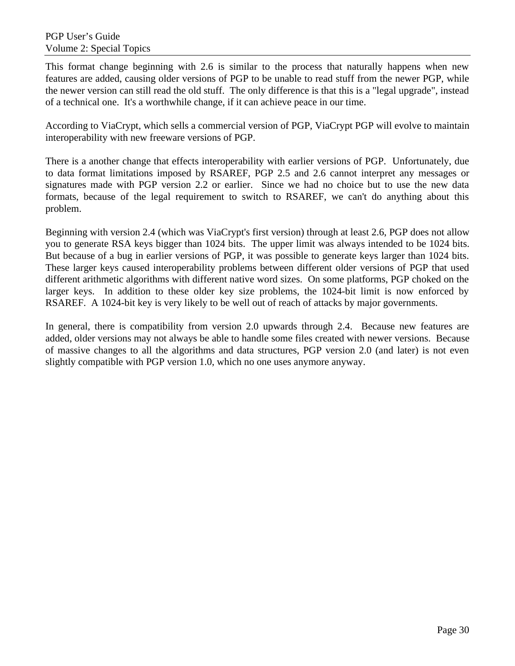This format change beginning with 2.6 is similar to the process that naturally happens when new features are added, causing older versions of PGP to be unable to read stuff from the newer PGP, while the newer version can still read the old stuff. The only difference is that this is a "legal upgrade", instead of a technical one. It's a worthwhile change, if it can achieve peace in our time.

According to ViaCrypt, which sells a commercial version of PGP, ViaCrypt PGP will evolve to maintain interoperability with new freeware versions of PGP.

There is a another change that effects interoperability with earlier versions of PGP. Unfortunately, due to data format limitations imposed by RSAREF, PGP 2.5 and 2.6 cannot interpret any messages or signatures made with PGP version 2.2 or earlier. Since we had no choice but to use the new data formats, because of the legal requirement to switch to RSAREF, we can't do anything about this problem.

Beginning with version 2.4 (which was ViaCrypt's first version) through at least 2.6, PGP does not allow you to generate RSA keys bigger than 1024 bits. The upper limit was always intended to be 1024 bits. But because of a bug in earlier versions of PGP, it was possible to generate keys larger than 1024 bits. These larger keys caused interoperability problems between different older versions of PGP that used different arithmetic algorithms with different native word sizes. On some platforms, PGP choked on the larger keys. In addition to these older key size problems, the 1024-bit limit is now enforced by RSAREF. A 1024-bit key is very likely to be well out of reach of attacks by major governments.

In general, there is compatibility from version 2.0 upwards through 2.4. Because new features are added, older versions may not always be able to handle some files created with newer versions. Because of massive changes to all the algorithms and data structures, PGP version 2.0 (and later) is not even slightly compatible with PGP version 1.0, which no one uses anymore anyway.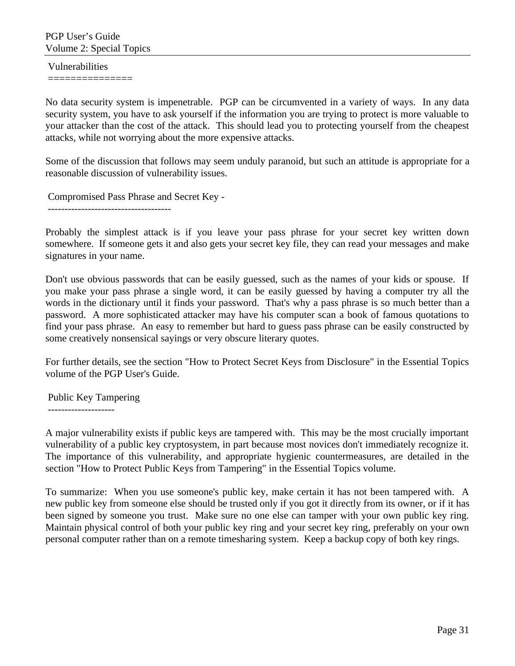### Vulnerabilities

===============

No data security system is impenetrable. PGP can be circumvented in a variety of ways. In any data security system, you have to ask yourself if the information you are trying to protect is more valuable to your attacker than the cost of the attack. This should lead you to protecting yourself from the cheapest attacks, while not worrying about the more expensive attacks.

Some of the discussion that follows may seem unduly paranoid, but such an attitude is appropriate for a reasonable discussion of vulnerability issues.

Compromised Pass Phrase and Secret Key -

-------------------------------------

Probably the simplest attack is if you leave your pass phrase for your secret key written down somewhere. If someone gets it and also gets your secret key file, they can read your messages and make signatures in your name.

Don't use obvious passwords that can be easily guessed, such as the names of your kids or spouse. If you make your pass phrase a single word, it can be easily guessed by having a computer try all the words in the dictionary until it finds your password. That's why a pass phrase is so much better than a password. A more sophisticated attacker may have his computer scan a book of famous quotations to find your pass phrase. An easy to remember but hard to guess pass phrase can be easily constructed by some creatively nonsensical sayings or very obscure literary quotes.

For further details, see the section "How to Protect Secret Keys from Disclosure" in the Essential Topics volume of the PGP User's Guide.

Public Key Tampering

--------------------

A major vulnerability exists if public keys are tampered with. This may be the most crucially important vulnerability of a public key cryptosystem, in part because most novices don't immediately recognize it. The importance of this vulnerability, and appropriate hygienic countermeasures, are detailed in the section "How to Protect Public Keys from Tampering" in the Essential Topics volume.

To summarize: When you use someone's public key, make certain it has not been tampered with. A new public key from someone else should be trusted only if you got it directly from its owner, or if it has been signed by someone you trust. Make sure no one else can tamper with your own public key ring. Maintain physical control of both your public key ring and your secret key ring, preferably on your own personal computer rather than on a remote timesharing system. Keep a backup copy of both key rings.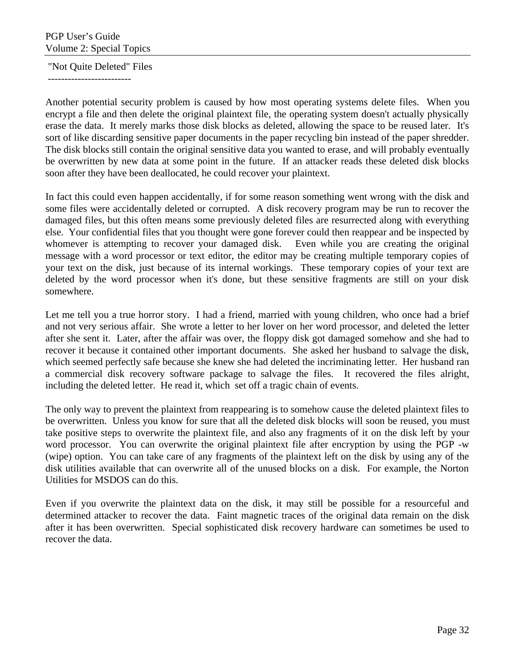### "Not Quite Deleted" Files

-------------------------

Another potential security problem is caused by how most operating systems delete files. When you encrypt a file and then delete the original plaintext file, the operating system doesn't actually physically erase the data. It merely marks those disk blocks as deleted, allowing the space to be reused later. It's sort of like discarding sensitive paper documents in the paper recycling bin instead of the paper shredder. The disk blocks still contain the original sensitive data you wanted to erase, and will probably eventually be overwritten by new data at some point in the future. If an attacker reads these deleted disk blocks soon after they have been deallocated, he could recover your plaintext.

In fact this could even happen accidentally, if for some reason something went wrong with the disk and some files were accidentally deleted or corrupted. A disk recovery program may be run to recover the damaged files, but this often means some previously deleted files are resurrected along with everything else. Your confidential files that you thought were gone forever could then reappear and be inspected by whomever is attempting to recover your damaged disk. Even while you are creating the original message with a word processor or text editor, the editor may be creating multiple temporary copies of your text on the disk, just because of its internal workings. These temporary copies of your text are deleted by the word processor when it's done, but these sensitive fragments are still on your disk somewhere.

Let me tell you a true horror story. I had a friend, married with young children, who once had a brief and not very serious affair. She wrote a letter to her lover on her word processor, and deleted the letter after she sent it. Later, after the affair was over, the floppy disk got damaged somehow and she had to recover it because it contained other important documents. She asked her husband to salvage the disk, which seemed perfectly safe because she knew she had deleted the incriminating letter. Her husband ran a commercial disk recovery software package to salvage the files. It recovered the files alright, including the deleted letter. He read it, which set off a tragic chain of events.

The only way to prevent the plaintext from reappearing is to somehow cause the deleted plaintext files to be overwritten. Unless you know for sure that all the deleted disk blocks will soon be reused, you must take positive steps to overwrite the plaintext file, and also any fragments of it on the disk left by your word processor. You can overwrite the original plaintext file after encryption by using the PGP -w (wipe) option. You can take care of any fragments of the plaintext left on the disk by using any of the disk utilities available that can overwrite all of the unused blocks on a disk. For example, the Norton Utilities for MSDOS can do this.

Even if you overwrite the plaintext data on the disk, it may still be possible for a resourceful and determined attacker to recover the data. Faint magnetic traces of the original data remain on the disk after it has been overwritten. Special sophisticated disk recovery hardware can sometimes be used to recover the data.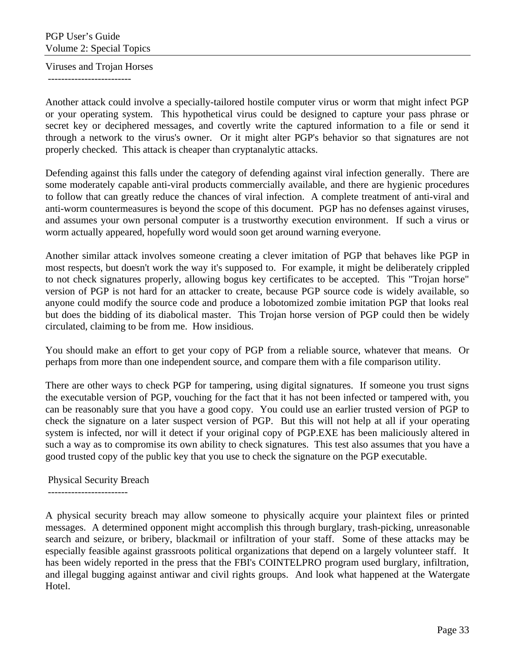#### Viruses and Trojan Horses

-------------------------

Another attack could involve a specially-tailored hostile computer virus or worm that might infect PGP or your operating system. This hypothetical virus could be designed to capture your pass phrase or secret key or deciphered messages, and covertly write the captured information to a file or send it through a network to the virus's owner. Or it might alter PGP's behavior so that signatures are not properly checked. This attack is cheaper than cryptanalytic attacks.

Defending against this falls under the category of defending against viral infection generally. There are some moderately capable anti-viral products commercially available, and there are hygienic procedures to follow that can greatly reduce the chances of viral infection. A complete treatment of anti-viral and anti-worm countermeasures is beyond the scope of this document. PGP has no defenses against viruses, and assumes your own personal computer is a trustworthy execution environment. If such a virus or worm actually appeared, hopefully word would soon get around warning everyone.

Another similar attack involves someone creating a clever imitation of PGP that behaves like PGP in most respects, but doesn't work the way it's supposed to. For example, it might be deliberately crippled to not check signatures properly, allowing bogus key certificates to be accepted. This "Trojan horse" version of PGP is not hard for an attacker to create, because PGP source code is widely available, so anyone could modify the source code and produce a lobotomized zombie imitation PGP that looks real but does the bidding of its diabolical master. This Trojan horse version of PGP could then be widely circulated, claiming to be from me. How insidious.

You should make an effort to get your copy of PGP from a reliable source, whatever that means. Or perhaps from more than one independent source, and compare them with a file comparison utility.

There are other ways to check PGP for tampering, using digital signatures. If someone you trust signs the executable version of PGP, vouching for the fact that it has not been infected or tampered with, you can be reasonably sure that you have a good copy. You could use an earlier trusted version of PGP to check the signature on a later suspect version of PGP. But this will not help at all if your operating system is infected, nor will it detect if your original copy of PGP.EXE has been maliciously altered in such a way as to compromise its own ability to check signatures. This test also assumes that you have a good trusted copy of the public key that you use to check the signature on the PGP executable.

# Physical Security Breach

------------------------

A physical security breach may allow someone to physically acquire your plaintext files or printed messages. A determined opponent might accomplish this through burglary, trash-picking, unreasonable search and seizure, or bribery, blackmail or infiltration of your staff. Some of these attacks may be especially feasible against grassroots political organizations that depend on a largely volunteer staff. It has been widely reported in the press that the FBI's COINTELPRO program used burglary, infiltration, and illegal bugging against antiwar and civil rights groups. And look what happened at the Watergate Hotel.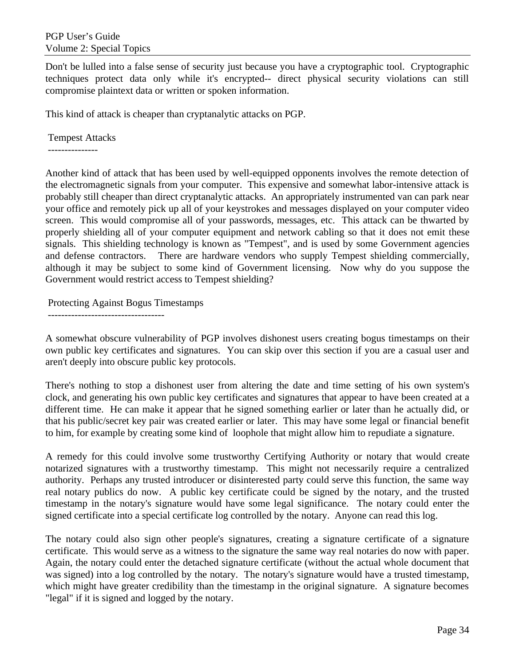Don't be lulled into a false sense of security just because you have a cryptographic tool. Cryptographic techniques protect data only while it's encrypted-- direct physical security violations can still compromise plaintext data or written or spoken information.

This kind of attack is cheaper than cryptanalytic attacks on PGP.

Tempest Attacks

---------------

Another kind of attack that has been used by well-equipped opponents involves the remote detection of the electromagnetic signals from your computer. This expensive and somewhat labor-intensive attack is probably still cheaper than direct cryptanalytic attacks. An appropriately instrumented van can park near your office and remotely pick up all of your keystrokes and messages displayed on your computer video screen. This would compromise all of your passwords, messages, etc. This attack can be thwarted by properly shielding all of your computer equipment and network cabling so that it does not emit these signals. This shielding technology is known as "Tempest", and is used by some Government agencies and defense contractors. There are hardware vendors who supply Tempest shielding commercially, although it may be subject to some kind of Government licensing. Now why do you suppose the Government would restrict access to Tempest shielding?

Protecting Against Bogus Timestamps

-----------------------------------

A somewhat obscure vulnerability of PGP involves dishonest users creating bogus timestamps on their own public key certificates and signatures. You can skip over this section if you are a casual user and aren't deeply into obscure public key protocols.

There's nothing to stop a dishonest user from altering the date and time setting of his own system's clock, and generating his own public key certificates and signatures that appear to have been created at a different time. He can make it appear that he signed something earlier or later than he actually did, or that his public/secret key pair was created earlier or later. This may have some legal or financial benefit to him, for example by creating some kind of loophole that might allow him to repudiate a signature.

A remedy for this could involve some trustworthy Certifying Authority or notary that would create notarized signatures with a trustworthy timestamp. This might not necessarily require a centralized authority. Perhaps any trusted introducer or disinterested party could serve this function, the same way real notary publics do now. A public key certificate could be signed by the notary, and the trusted timestamp in the notary's signature would have some legal significance. The notary could enter the signed certificate into a special certificate log controlled by the notary. Anyone can read this log.

The notary could also sign other people's signatures, creating a signature certificate of a signature certificate. This would serve as a witness to the signature the same way real notaries do now with paper. Again, the notary could enter the detached signature certificate (without the actual whole document that was signed) into a log controlled by the notary. The notary's signature would have a trusted timestamp, which might have greater credibility than the timestamp in the original signature. A signature becomes "legal" if it is signed and logged by the notary.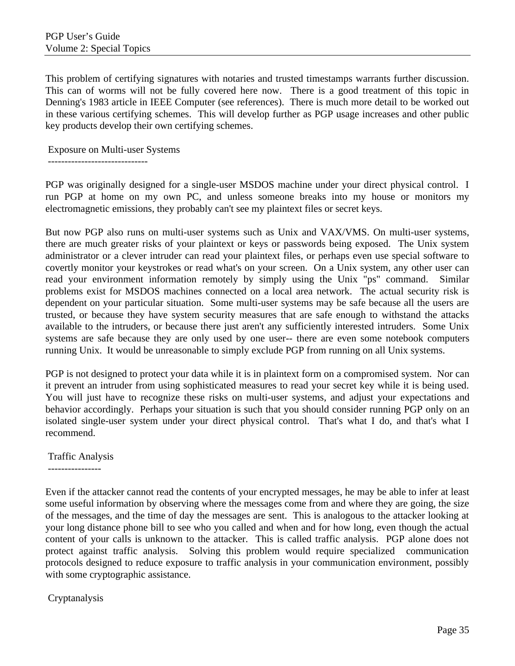This problem of certifying signatures with notaries and trusted timestamps warrants further discussion. This can of worms will not be fully covered here now. There is a good treatment of this topic in Denning's 1983 article in IEEE Computer (see references). There is much more detail to be worked out in these various certifying schemes. This will develop further as PGP usage increases and other public key products develop their own certifying schemes.

## Exposure on Multi-user Systems

------------------------------

PGP was originally designed for a single-user MSDOS machine under your direct physical control. I run PGP at home on my own PC, and unless someone breaks into my house or monitors my electromagnetic emissions, they probably can't see my plaintext files or secret keys.

But now PGP also runs on multi-user systems such as Unix and VAX/VMS. On multi-user systems, there are much greater risks of your plaintext or keys or passwords being exposed. The Unix system administrator or a clever intruder can read your plaintext files, or perhaps even use special software to covertly monitor your keystrokes or read what's on your screen. On a Unix system, any other user can read your environment information remotely by simply using the Unix "ps" command. Similar problems exist for MSDOS machines connected on a local area network. The actual security risk is dependent on your particular situation. Some multi-user systems may be safe because all the users are trusted, or because they have system security measures that are safe enough to withstand the attacks available to the intruders, or because there just aren't any sufficiently interested intruders. Some Unix systems are safe because they are only used by one user-- there are even some notebook computers running Unix. It would be unreasonable to simply exclude PGP from running on all Unix systems.

PGP is not designed to protect your data while it is in plaintext form on a compromised system. Nor can it prevent an intruder from using sophisticated measures to read your secret key while it is being used. You will just have to recognize these risks on multi-user systems, and adjust your expectations and behavior accordingly. Perhaps your situation is such that you should consider running PGP only on an isolated single-user system under your direct physical control. That's what I do, and that's what I recommend.

# Traffic Analysis

----------------

Even if the attacker cannot read the contents of your encrypted messages, he may be able to infer at least some useful information by observing where the messages come from and where they are going, the size of the messages, and the time of day the messages are sent. This is analogous to the attacker looking at your long distance phone bill to see who you called and when and for how long, even though the actual content of your calls is unknown to the attacker. This is called traffic analysis. PGP alone does not protect against traffic analysis. Solving this problem would require specialized communication protocols designed to reduce exposure to traffic analysis in your communication environment, possibly with some cryptographic assistance.

# Cryptanalysis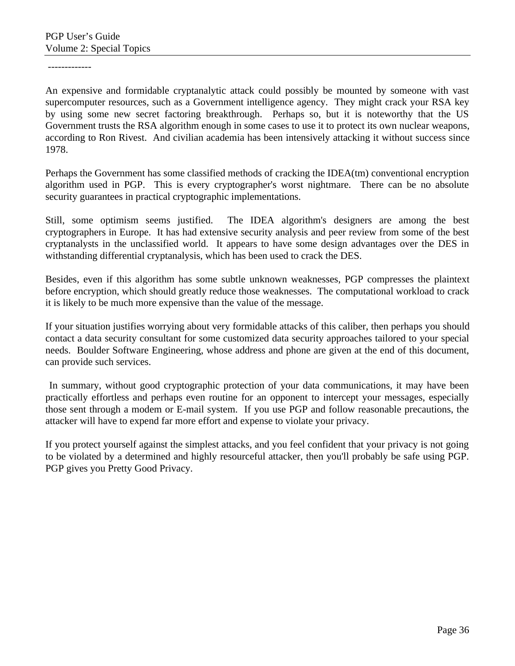-------------

An expensive and formidable cryptanalytic attack could possibly be mounted by someone with vast supercomputer resources, such as a Government intelligence agency. They might crack your RSA key by using some new secret factoring breakthrough. Perhaps so, but it is noteworthy that the US Government trusts the RSA algorithm enough in some cases to use it to protect its own nuclear weapons, according to Ron Rivest. And civilian academia has been intensively attacking it without success since 1978.

Perhaps the Government has some classified methods of cracking the IDEA(tm) conventional encryption algorithm used in PGP. This is every cryptographer's worst nightmare. There can be no absolute security guarantees in practical cryptographic implementations.

Still, some optimism seems justified. The IDEA algorithm's designers are among the best cryptographers in Europe. It has had extensive security analysis and peer review from some of the best cryptanalysts in the unclassified world. It appears to have some design advantages over the DES in withstanding differential cryptanalysis, which has been used to crack the DES.

Besides, even if this algorithm has some subtle unknown weaknesses, PGP compresses the plaintext before encryption, which should greatly reduce those weaknesses. The computational workload to crack it is likely to be much more expensive than the value of the message.

If your situation justifies worrying about very formidable attacks of this caliber, then perhaps you should contact a data security consultant for some customized data security approaches tailored to your special needs. Boulder Software Engineering, whose address and phone are given at the end of this document, can provide such services.

 In summary, without good cryptographic protection of your data communications, it may have been practically effortless and perhaps even routine for an opponent to intercept your messages, especially those sent through a modem or E-mail system. If you use PGP and follow reasonable precautions, the attacker will have to expend far more effort and expense to violate your privacy.

If you protect yourself against the simplest attacks, and you feel confident that your privacy is not going to be violated by a determined and highly resourceful attacker, then you'll probably be safe using PGP. PGP gives you Pretty Good Privacy.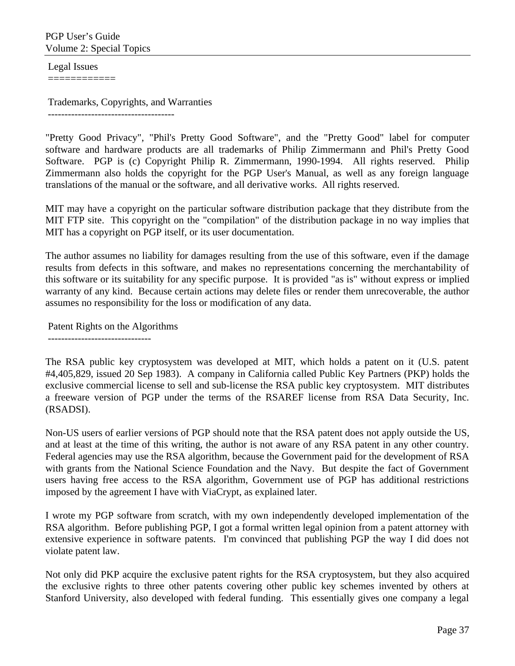## PGP User's Guide Volume 2: Special Topics

 Legal Issues ============

Trademarks, Copyrights, and Warranties

--------------------------------------

"Pretty Good Privacy", "Phil's Pretty Good Software", and the "Pretty Good" label for computer software and hardware products are all trademarks of Philip Zimmermann and Phil's Pretty Good Software. PGP is (c) Copyright Philip R. Zimmermann, 1990-1994. All rights reserved. Philip Zimmermann also holds the copyright for the PGP User's Manual, as well as any foreign language translations of the manual or the software, and all derivative works. All rights reserved.

MIT may have a copyright on the particular software distribution package that they distribute from the MIT FTP site. This copyright on the "compilation" of the distribution package in no way implies that MIT has a copyright on PGP itself, or its user documentation.

The author assumes no liability for damages resulting from the use of this software, even if the damage results from defects in this software, and makes no representations concerning the merchantability of this software or its suitability for any specific purpose. It is provided "as is" without express or implied warranty of any kind. Because certain actions may delete files or render them unrecoverable, the author assumes no responsibility for the loss or modification of any data.

Patent Rights on the Algorithms

-------------------------------

The RSA public key cryptosystem was developed at MIT, which holds a patent on it (U.S. patent #4,405,829, issued 20 Sep 1983). A company in California called Public Key Partners (PKP) holds the exclusive commercial license to sell and sub-license the RSA public key cryptosystem. MIT distributes a freeware version of PGP under the terms of the RSAREF license from RSA Data Security, Inc. (RSADSI).

Non-US users of earlier versions of PGP should note that the RSA patent does not apply outside the US, and at least at the time of this writing, the author is not aware of any RSA patent in any other country. Federal agencies may use the RSA algorithm, because the Government paid for the development of RSA with grants from the National Science Foundation and the Navy. But despite the fact of Government users having free access to the RSA algorithm, Government use of PGP has additional restrictions imposed by the agreement I have with ViaCrypt, as explained later.

I wrote my PGP software from scratch, with my own independently developed implementation of the RSA algorithm. Before publishing PGP, I got a formal written legal opinion from a patent attorney with extensive experience in software patents. I'm convinced that publishing PGP the way I did does not violate patent law.

Not only did PKP acquire the exclusive patent rights for the RSA cryptosystem, but they also acquired the exclusive rights to three other patents covering other public key schemes invented by others at Stanford University, also developed with federal funding. This essentially gives one company a legal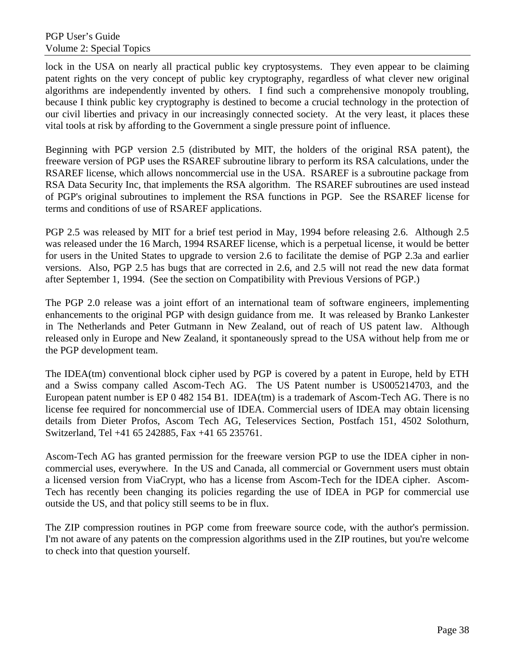lock in the USA on nearly all practical public key cryptosystems. They even appear to be claiming patent rights on the very concept of public key cryptography, regardless of what clever new original algorithms are independently invented by others. I find such a comprehensive monopoly troubling, because I think public key cryptography is destined to become a crucial technology in the protection of our civil liberties and privacy in our increasingly connected society. At the very least, it places these vital tools at risk by affording to the Government a single pressure point of influence.

Beginning with PGP version 2.5 (distributed by MIT, the holders of the original RSA patent), the freeware version of PGP uses the RSAREF subroutine library to perform its RSA calculations, under the RSAREF license, which allows noncommercial use in the USA. RSAREF is a subroutine package from RSA Data Security Inc, that implements the RSA algorithm. The RSAREF subroutines are used instead of PGP's original subroutines to implement the RSA functions in PGP. See the RSAREF license for terms and conditions of use of RSAREF applications.

PGP 2.5 was released by MIT for a brief test period in May, 1994 before releasing 2.6. Although 2.5 was released under the 16 March, 1994 RSAREF license, which is a perpetual license, it would be better for users in the United States to upgrade to version 2.6 to facilitate the demise of PGP 2.3a and earlier versions. Also, PGP 2.5 has bugs that are corrected in 2.6, and 2.5 will not read the new data format after September 1, 1994. (See the section on Compatibility with Previous Versions of PGP.)

The PGP 2.0 release was a joint effort of an international team of software engineers, implementing enhancements to the original PGP with design guidance from me. It was released by Branko Lankester in The Netherlands and Peter Gutmann in New Zealand, out of reach of US patent law. Although released only in Europe and New Zealand, it spontaneously spread to the USA without help from me or the PGP development team.

The IDEA(tm) conventional block cipher used by PGP is covered by a patent in Europe, held by ETH and a Swiss company called Ascom-Tech AG. The US Patent number is US005214703, and the European patent number is EP 0 482 154 B1. IDEA(tm) is a trademark of Ascom-Tech AG. There is no license fee required for noncommercial use of IDEA. Commercial users of IDEA may obtain licensing details from Dieter Profos, Ascom Tech AG, Teleservices Section, Postfach 151, 4502 Solothurn, Switzerland, Tel +41 65 242885, Fax +41 65 235761.

Ascom-Tech AG has granted permission for the freeware version PGP to use the IDEA cipher in noncommercial uses, everywhere. In the US and Canada, all commercial or Government users must obtain a licensed version from ViaCrypt, who has a license from Ascom-Tech for the IDEA cipher. Ascom-Tech has recently been changing its policies regarding the use of IDEA in PGP for commercial use outside the US, and that policy still seems to be in flux.

The ZIP compression routines in PGP come from freeware source code, with the author's permission. I'm not aware of any patents on the compression algorithms used in the ZIP routines, but you're welcome to check into that question yourself.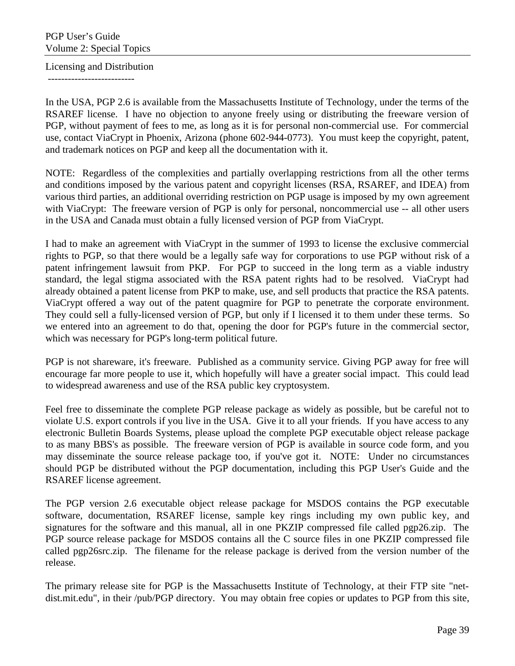#### Licensing and Distribution

--------------------------

In the USA, PGP 2.6 is available from the Massachusetts Institute of Technology, under the terms of the RSAREF license. I have no objection to anyone freely using or distributing the freeware version of PGP, without payment of fees to me, as long as it is for personal non-commercial use. For commercial use, contact ViaCrypt in Phoenix, Arizona (phone 602-944-0773). You must keep the copyright, patent, and trademark notices on PGP and keep all the documentation with it.

NOTE: Regardless of the complexities and partially overlapping restrictions from all the other terms and conditions imposed by the various patent and copyright licenses (RSA, RSAREF, and IDEA) from various third parties, an additional overriding restriction on PGP usage is imposed by my own agreement with ViaCrypt: The freeware version of PGP is only for personal, noncommercial use -- all other users in the USA and Canada must obtain a fully licensed version of PGP from ViaCrypt.

I had to make an agreement with ViaCrypt in the summer of 1993 to license the exclusive commercial rights to PGP, so that there would be a legally safe way for corporations to use PGP without risk of a patent infringement lawsuit from PKP. For PGP to succeed in the long term as a viable industry standard, the legal stigma associated with the RSA patent rights had to be resolved. ViaCrypt had already obtained a patent license from PKP to make, use, and sell products that practice the RSA patents. ViaCrypt offered a way out of the patent quagmire for PGP to penetrate the corporate environment. They could sell a fully-licensed version of PGP, but only if I licensed it to them under these terms. So we entered into an agreement to do that, opening the door for PGP's future in the commercial sector, which was necessary for PGP's long-term political future.

PGP is not shareware, it's freeware. Published as a community service. Giving PGP away for free will encourage far more people to use it, which hopefully will have a greater social impact. This could lead to widespread awareness and use of the RSA public key cryptosystem.

Feel free to disseminate the complete PGP release package as widely as possible, but be careful not to violate U.S. export controls if you live in the USA. Give it to all your friends. If you have access to any electronic Bulletin Boards Systems, please upload the complete PGP executable object release package to as many BBS's as possible. The freeware version of PGP is available in source code form, and you may disseminate the source release package too, if you've got it. NOTE: Under no circumstances should PGP be distributed without the PGP documentation, including this PGP User's Guide and the RSAREF license agreement.

The PGP version 2.6 executable object release package for MSDOS contains the PGP executable software, documentation, RSAREF license, sample key rings including my own public key, and signatures for the software and this manual, all in one PKZIP compressed file called pgp26.zip. The PGP source release package for MSDOS contains all the C source files in one PKZIP compressed file called pgp26src.zip. The filename for the release package is derived from the version number of the release.

The primary release site for PGP is the Massachusetts Institute of Technology, at their FTP site "netdist.mit.edu", in their /pub/PGP directory. You may obtain free copies or updates to PGP from this site,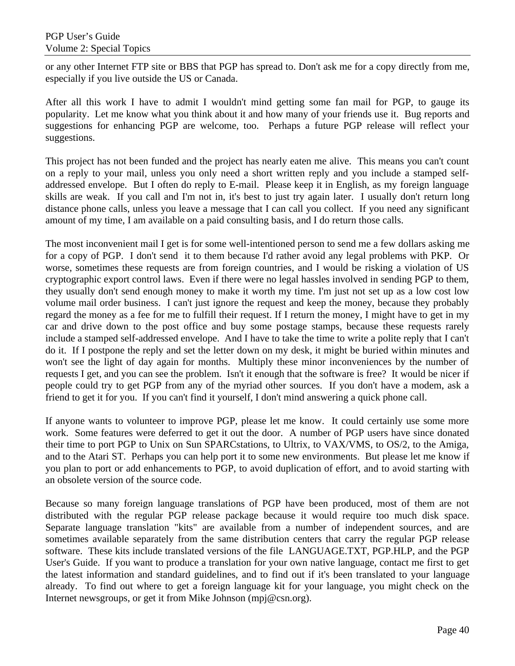or any other Internet FTP site or BBS that PGP has spread to. Don't ask me for a copy directly from me, especially if you live outside the US or Canada.

After all this work I have to admit I wouldn't mind getting some fan mail for PGP, to gauge its popularity. Let me know what you think about it and how many of your friends use it. Bug reports and suggestions for enhancing PGP are welcome, too. Perhaps a future PGP release will reflect your suggestions.

This project has not been funded and the project has nearly eaten me alive. This means you can't count on a reply to your mail, unless you only need a short written reply and you include a stamped selfaddressed envelope. But I often do reply to E-mail. Please keep it in English, as my foreign language skills are weak. If you call and I'm not in, it's best to just try again later. I usually don't return long distance phone calls, unless you leave a message that I can call you collect. If you need any significant amount of my time, I am available on a paid consulting basis, and I do return those calls.

The most inconvenient mail I get is for some well-intentioned person to send me a few dollars asking me for a copy of PGP. I don't send it to them because I'd rather avoid any legal problems with PKP. Or worse, sometimes these requests are from foreign countries, and I would be risking a violation of US cryptographic export control laws. Even if there were no legal hassles involved in sending PGP to them, they usually don't send enough money to make it worth my time. I'm just not set up as a low cost low volume mail order business. I can't just ignore the request and keep the money, because they probably regard the money as a fee for me to fulfill their request. If I return the money, I might have to get in my car and drive down to the post office and buy some postage stamps, because these requests rarely include a stamped self-addressed envelope. And I have to take the time to write a polite reply that I can't do it. If I postpone the reply and set the letter down on my desk, it might be buried within minutes and won't see the light of day again for months. Multiply these minor inconveniences by the number of requests I get, and you can see the problem. Isn't it enough that the software is free? It would be nicer if people could try to get PGP from any of the myriad other sources. If you don't have a modem, ask a friend to get it for you. If you can't find it yourself, I don't mind answering a quick phone call.

If anyone wants to volunteer to improve PGP, please let me know. It could certainly use some more work. Some features were deferred to get it out the door. A number of PGP users have since donated their time to port PGP to Unix on Sun SPARCstations, to Ultrix, to VAX/VMS, to OS/2, to the Amiga, and to the Atari ST. Perhaps you can help port it to some new environments. But please let me know if you plan to port or add enhancements to PGP, to avoid duplication of effort, and to avoid starting with an obsolete version of the source code.

Because so many foreign language translations of PGP have been produced, most of them are not distributed with the regular PGP release package because it would require too much disk space. Separate language translation "kits" are available from a number of independent sources, and are sometimes available separately from the same distribution centers that carry the regular PGP release software. These kits include translated versions of the file LANGUAGE.TXT, PGP.HLP, and the PGP User's Guide. If you want to produce a translation for your own native language, contact me first to get the latest information and standard guidelines, and to find out if it's been translated to your language already. To find out where to get a foreign language kit for your language, you might check on the Internet newsgroups, or get it from Mike Johnson (mpj@csn.org).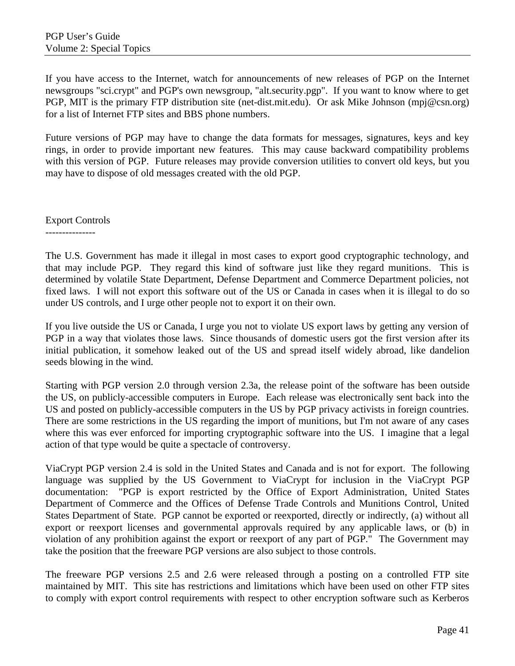If you have access to the Internet, watch for announcements of new releases of PGP on the Internet newsgroups "sci.crypt" and PGP's own newsgroup, "alt.security.pgp". If you want to know where to get PGP, MIT is the primary FTP distribution site (net-dist.mit.edu). Or ask Mike Johnson (mpj@csn.org) for a list of Internet FTP sites and BBS phone numbers.

Future versions of PGP may have to change the data formats for messages, signatures, keys and key rings, in order to provide important new features. This may cause backward compatibility problems with this version of PGP. Future releases may provide conversion utilities to convert old keys, but you may have to dispose of old messages created with the old PGP.

Export Controls

---------------

The U.S. Government has made it illegal in most cases to export good cryptographic technology, and that may include PGP. They regard this kind of software just like they regard munitions. This is determined by volatile State Department, Defense Department and Commerce Department policies, not fixed laws. I will not export this software out of the US or Canada in cases when it is illegal to do so under US controls, and I urge other people not to export it on their own.

If you live outside the US or Canada, I urge you not to violate US export laws by getting any version of PGP in a way that violates those laws. Since thousands of domestic users got the first version after its initial publication, it somehow leaked out of the US and spread itself widely abroad, like dandelion seeds blowing in the wind.

Starting with PGP version 2.0 through version 2.3a, the release point of the software has been outside the US, on publicly-accessible computers in Europe. Each release was electronically sent back into the US and posted on publicly-accessible computers in the US by PGP privacy activists in foreign countries. There are some restrictions in the US regarding the import of munitions, but I'm not aware of any cases where this was ever enforced for importing cryptographic software into the US. I imagine that a legal action of that type would be quite a spectacle of controversy.

ViaCrypt PGP version 2.4 is sold in the United States and Canada and is not for export. The following language was supplied by the US Government to ViaCrypt for inclusion in the ViaCrypt PGP documentation: "PGP is export restricted by the Office of Export Administration, United States Department of Commerce and the Offices of Defense Trade Controls and Munitions Control, United States Department of State. PGP cannot be exported or reexported, directly or indirectly, (a) without all export or reexport licenses and governmental approvals required by any applicable laws, or (b) in violation of any prohibition against the export or reexport of any part of PGP." The Government may take the position that the freeware PGP versions are also subject to those controls.

The freeware PGP versions 2.5 and 2.6 were released through a posting on a controlled FTP site maintained by MIT. This site has restrictions and limitations which have been used on other FTP sites to comply with export control requirements with respect to other encryption software such as Kerberos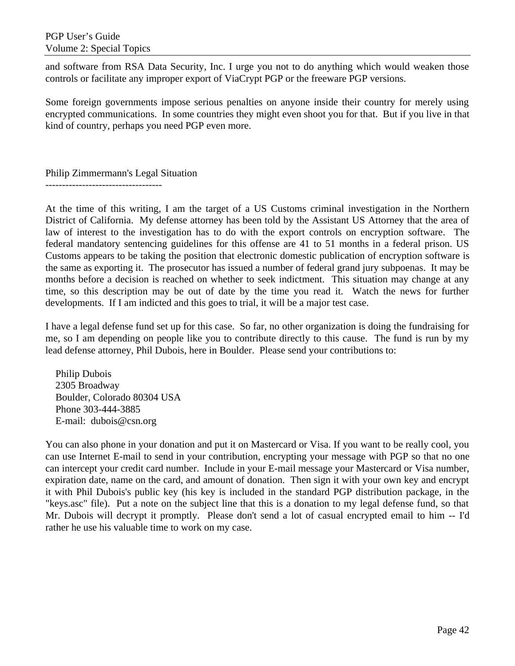and software from RSA Data Security, Inc. I urge you not to do anything which would weaken those controls or facilitate any improper export of ViaCrypt PGP or the freeware PGP versions.

Some foreign governments impose serious penalties on anyone inside their country for merely using encrypted communications. In some countries they might even shoot you for that. But if you live in that kind of country, perhaps you need PGP even more.

Philip Zimmermann's Legal Situation

-----------------------------------

At the time of this writing, I am the target of a US Customs criminal investigation in the Northern District of California. My defense attorney has been told by the Assistant US Attorney that the area of law of interest to the investigation has to do with the export controls on encryption software. The federal mandatory sentencing guidelines for this offense are 41 to 51 months in a federal prison. US Customs appears to be taking the position that electronic domestic publication of encryption software is the same as exporting it. The prosecutor has issued a number of federal grand jury subpoenas. It may be months before a decision is reached on whether to seek indictment. This situation may change at any time, so this description may be out of date by the time you read it. Watch the news for further developments. If I am indicted and this goes to trial, it will be a major test case.

I have a legal defense fund set up for this case. So far, no other organization is doing the fundraising for me, so I am depending on people like you to contribute directly to this cause. The fund is run by my lead defense attorney, Phil Dubois, here in Boulder. Please send your contributions to:

 Philip Dubois 2305 Broadway Boulder, Colorado 80304 USA Phone 303-444-3885 E-mail: dubois@csn.org

You can also phone in your donation and put it on Mastercard or Visa. If you want to be really cool, you can use Internet E-mail to send in your contribution, encrypting your message with PGP so that no one can intercept your credit card number. Include in your E-mail message your Mastercard or Visa number, expiration date, name on the card, and amount of donation. Then sign it with your own key and encrypt it with Phil Dubois's public key (his key is included in the standard PGP distribution package, in the "keys.asc" file). Put a note on the subject line that this is a donation to my legal defense fund, so that Mr. Dubois will decrypt it promptly. Please don't send a lot of casual encrypted email to him -- I'd rather he use his valuable time to work on my case.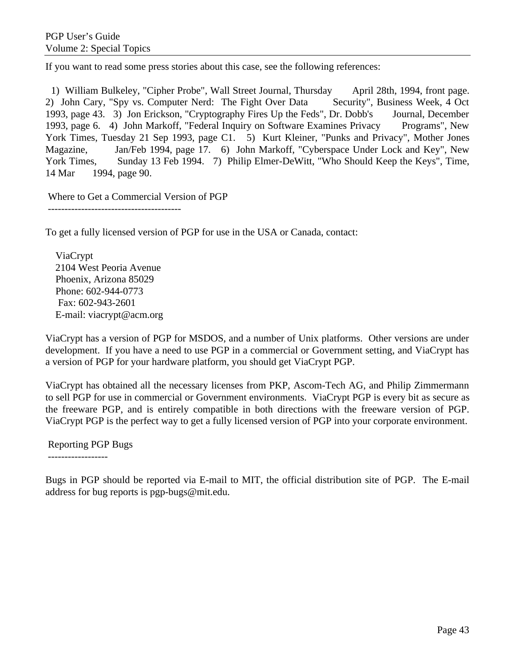If you want to read some press stories about this case, see the following references:

 1) William Bulkeley, "Cipher Probe", Wall Street Journal, Thursday April 28th, 1994, front page. 2) John Cary, "Spy vs. Computer Nerd: The Fight Over Data Security", Business Week, 4 Oct 1993, page 43. 3) Jon Erickson, "Cryptography Fires Up the Feds", Dr. Dobb's Journal, December 1993, page 6. 4) John Markoff, "Federal Inquiry on Software Examines Privacy Programs", New York Times, Tuesday 21 Sep 1993, page C1. 5) Kurt Kleiner, "Punks and Privacy", Mother Jones Magazine, Jan/Feb 1994, page 17. 6) John Markoff, "Cyberspace Under Lock and Key", New York Times, Sunday 13 Feb 1994. 7) Philip Elmer-DeWitt, "Who Should Keep the Keys", Time, 14 Mar 1994, page 90.

Where to Get a Commercial Version of PGP

----------------------------------------

To get a fully licensed version of PGP for use in the USA or Canada, contact:

 ViaCrypt 2104 West Peoria Avenue Phoenix, Arizona 85029 Phone: 602-944-0773 Fax: 602-943-2601 E-mail: viacrypt@acm.org

ViaCrypt has a version of PGP for MSDOS, and a number of Unix platforms. Other versions are under development. If you have a need to use PGP in a commercial or Government setting, and ViaCrypt has a version of PGP for your hardware platform, you should get ViaCrypt PGP.

ViaCrypt has obtained all the necessary licenses from PKP, Ascom-Tech AG, and Philip Zimmermann to sell PGP for use in commercial or Government environments. ViaCrypt PGP is every bit as secure as the freeware PGP, and is entirely compatible in both directions with the freeware version of PGP. ViaCrypt PGP is the perfect way to get a fully licensed version of PGP into your corporate environment.

Reporting PGP Bugs

------------------

Bugs in PGP should be reported via E-mail to MIT, the official distribution site of PGP. The E-mail address for bug reports is pgp-bugs@mit.edu.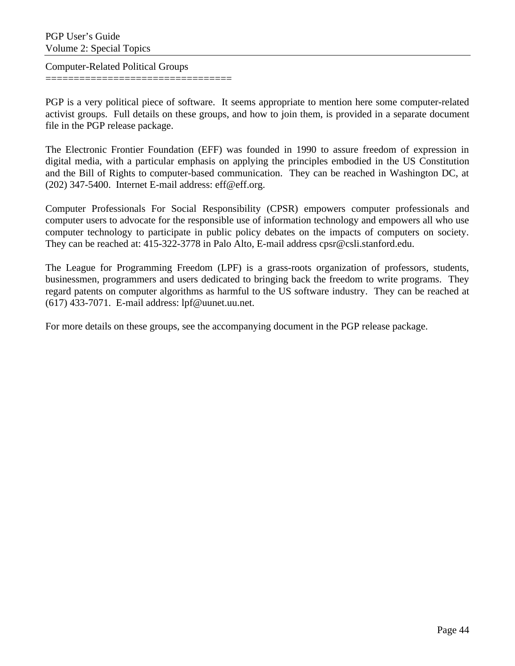Computer-Related Political Groups

=================================

PGP is a very political piece of software. It seems appropriate to mention here some computer-related activist groups. Full details on these groups, and how to join them, is provided in a separate document file in the PGP release package.

The Electronic Frontier Foundation (EFF) was founded in 1990 to assure freedom of expression in digital media, with a particular emphasis on applying the principles embodied in the US Constitution and the Bill of Rights to computer-based communication. They can be reached in Washington DC, at (202) 347-5400. Internet E-mail address: eff@eff.org.

Computer Professionals For Social Responsibility (CPSR) empowers computer professionals and computer users to advocate for the responsible use of information technology and empowers all who use computer technology to participate in public policy debates on the impacts of computers on society. They can be reached at: 415-322-3778 in Palo Alto, E-mail address cpsr@csli.stanford.edu.

The League for Programming Freedom (LPF) is a grass-roots organization of professors, students, businessmen, programmers and users dedicated to bringing back the freedom to write programs. They regard patents on computer algorithms as harmful to the US software industry. They can be reached at (617) 433-7071. E-mail address: lpf@uunet.uu.net.

For more details on these groups, see the accompanying document in the PGP release package.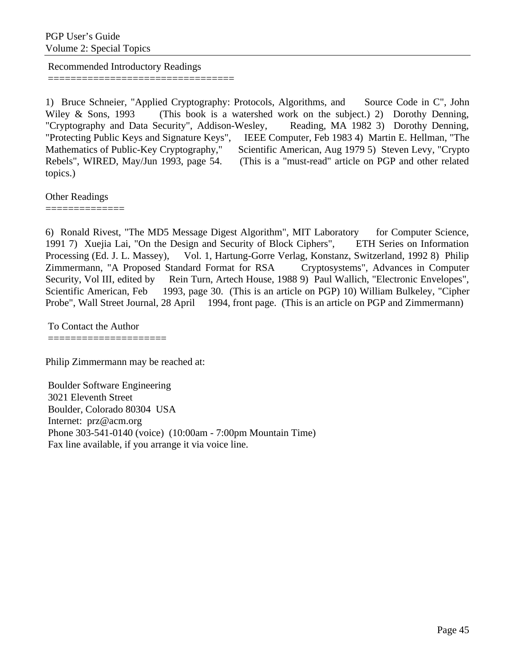Recommended Introductory Readings

=================================

1) Bruce Schneier, "Applied Cryptography: Protocols, Algorithms, and Source Code in C", John Wiley & Sons, 1993 (This book is a watershed work on the subject.) 2) Dorothy Denning, "Cryptography and Data Security", Addison-Wesley, Reading, MA 1982 3) Dorothy Denning, "Protecting Public Keys and Signature Keys", IEEE Computer, Feb 1983 4) Martin E. Hellman, "The Mathematics of Public-Key Cryptography," Scientific American, Aug 1979 5) Steven Levy, "Crypto Rebels", WIRED, May/Jun 1993, page 54. (This is a "must-read" article on PGP and other related topics.)

Other Readings

==============

6) Ronald Rivest, "The MD5 Message Digest Algorithm", MIT Laboratory for Computer Science, 1991 7) Xuejia Lai, "On the Design and Security of Block Ciphers", ETH Series on Information Processing (Ed. J. L. Massey), Vol. 1, Hartung-Gorre Verlag, Konstanz, Switzerland, 1992 8) Philip Zimmermann, "A Proposed Standard Format for RSA Cryptosystems", Advances in Computer Security, Vol III, edited by Rein Turn, Artech House, 1988 9) Paul Wallich, "Electronic Envelopes", Scientific American, Feb 1993, page 30. (This is an article on PGP) 10) William Bulkeley, "Cipher Probe", Wall Street Journal, 28 April 1994, front page. (This is an article on PGP and Zimmermann)

 To Contact the Author =====================

Philip Zimmermann may be reached at:

 Boulder Software Engineering 3021 Eleventh Street Boulder, Colorado 80304 USA Internet: prz@acm.org Phone 303-541-0140 (voice) (10:00am - 7:00pm Mountain Time) Fax line available, if you arrange it via voice line.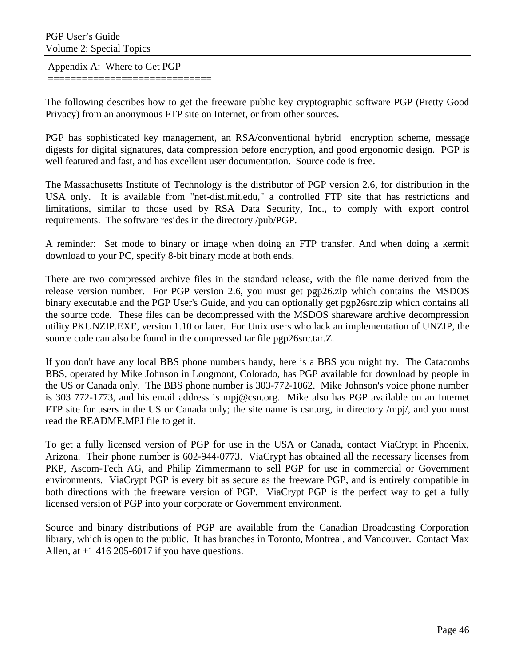Appendix A: Where to Get PGP ==================================

The following describes how to get the freeware public key cryptographic software PGP (Pretty Good Privacy) from an anonymous FTP site on Internet, or from other sources.

PGP has sophisticated key management, an RSA/conventional hybrid encryption scheme, message digests for digital signatures, data compression before encryption, and good ergonomic design. PGP is well featured and fast, and has excellent user documentation. Source code is free.

The Massachusetts Institute of Technology is the distributor of PGP version 2.6, for distribution in the USA only. It is available from "net-dist.mit.edu," a controlled FTP site that has restrictions and limitations, similar to those used by RSA Data Security, Inc., to comply with export control requirements. The software resides in the directory /pub/PGP.

A reminder: Set mode to binary or image when doing an FTP transfer. And when doing a kermit download to your PC, specify 8-bit binary mode at both ends.

There are two compressed archive files in the standard release, with the file name derived from the release version number. For PGP version 2.6, you must get pgp26.zip which contains the MSDOS binary executable and the PGP User's Guide, and you can optionally get pgp26src.zip which contains all the source code. These files can be decompressed with the MSDOS shareware archive decompression utility PKUNZIP.EXE, version 1.10 or later. For Unix users who lack an implementation of UNZIP, the source code can also be found in the compressed tar file pgp26src.tar.Z.

If you don't have any local BBS phone numbers handy, here is a BBS you might try. The Catacombs BBS, operated by Mike Johnson in Longmont, Colorado, has PGP available for download by people in the US or Canada only. The BBS phone number is 303-772-1062. Mike Johnson's voice phone number is 303 772-1773, and his email address is mpj@csn.org. Mike also has PGP available on an Internet FTP site for users in the US or Canada only; the site name is csn.org, in directory /mpj/, and you must read the README.MPJ file to get it.

To get a fully licensed version of PGP for use in the USA or Canada, contact ViaCrypt in Phoenix, Arizona. Their phone number is 602-944-0773. ViaCrypt has obtained all the necessary licenses from PKP, Ascom-Tech AG, and Philip Zimmermann to sell PGP for use in commercial or Government environments. ViaCrypt PGP is every bit as secure as the freeware PGP, and is entirely compatible in both directions with the freeware version of PGP. ViaCrypt PGP is the perfect way to get a fully licensed version of PGP into your corporate or Government environment.

Source and binary distributions of PGP are available from the Canadian Broadcasting Corporation library, which is open to the public. It has branches in Toronto, Montreal, and Vancouver. Contact Max Allen, at  $+1$  416 205-6017 if you have questions.